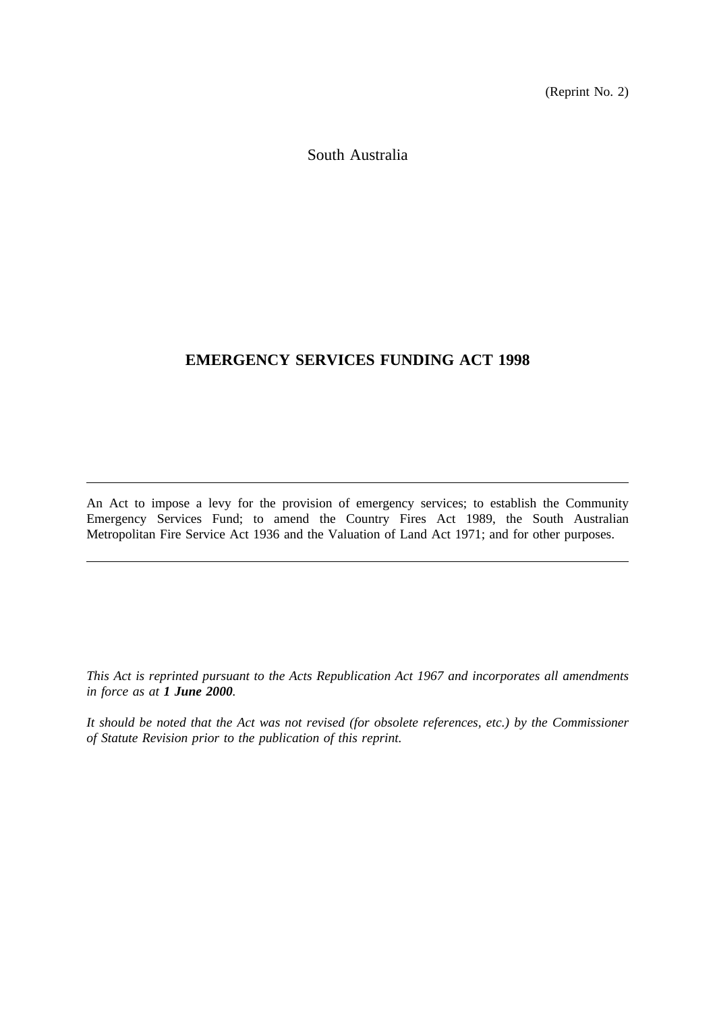(Reprint No. 2)

South Australia

# **EMERGENCY SERVICES FUNDING ACT 1998**

An Act to impose a levy for the provision of emergency services; to establish the Community Emergency Services Fund; to amend the Country Fires Act 1989, the South Australian Metropolitan Fire Service Act 1936 and the Valuation of Land Act 1971; and for other purposes.

*This Act is reprinted pursuant to the Acts Republication Act 1967 and incorporates all amendments in force as at 1 June 2000.*

*It should be noted that the Act was not revised (for obsolete references, etc.) by the Commissioner of Statute Revision prior to the publication of this reprint.*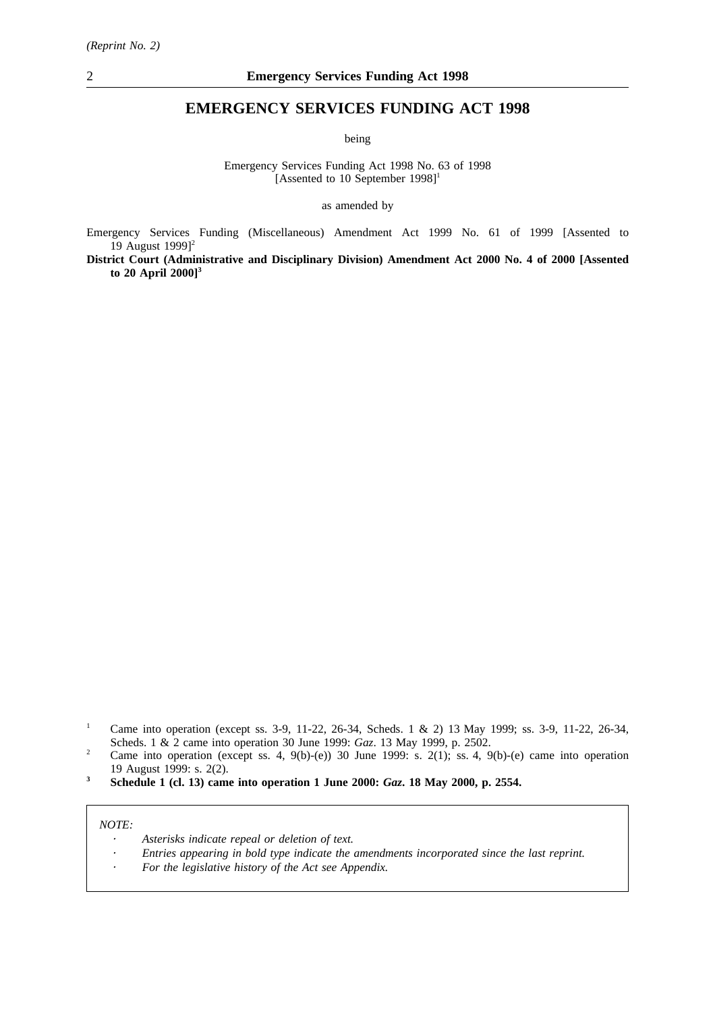## **EMERGENCY SERVICES FUNDING ACT 1998**

being

Emergency Services Funding Act 1998 No. 63 of 1998 [Assented to 10 September  $1998$ ]<sup>1</sup>

as amended by

Emergency Services Funding (Miscellaneous) Amendment Act 1999 No. 61 of 1999 [Assented to 19 August 1999<sup>12</sup>

**District Court (Administrative and Disciplinary Division) Amendment Act 2000 No. 4 of 2000 [Assented to 20 April 2000]3**

- <sup>1</sup> Came into operation (except ss. 3-9, 11-22, 26-34, Scheds. 1 & 2) 13 May 1999; ss. 3-9, 11-22, 26-34, Scheds.1&2 came into operation 30 June 1999: *Gaz*. 13 May 1999, p. 2502.
- <sup>2</sup> Came into operation (except ss. 4, 9(b)-(e)) 30 June 1999: s. 2(1); ss. 4, 9(b)-(e) came into operation 19 August 1999: s. 2(2).
- **<sup>3</sup> Schedule 1 (cl. 13) came into operation 1 June 2000:** *Gaz***. 18 May 2000, p. 2554.**

#### *NOTE:*

- *Asterisks indicate repeal or deletion of text.*
- *Entries appearing in bold type indicate the amendments incorporated since the last reprint.*
- *For the legislative history of the Act see Appendix.*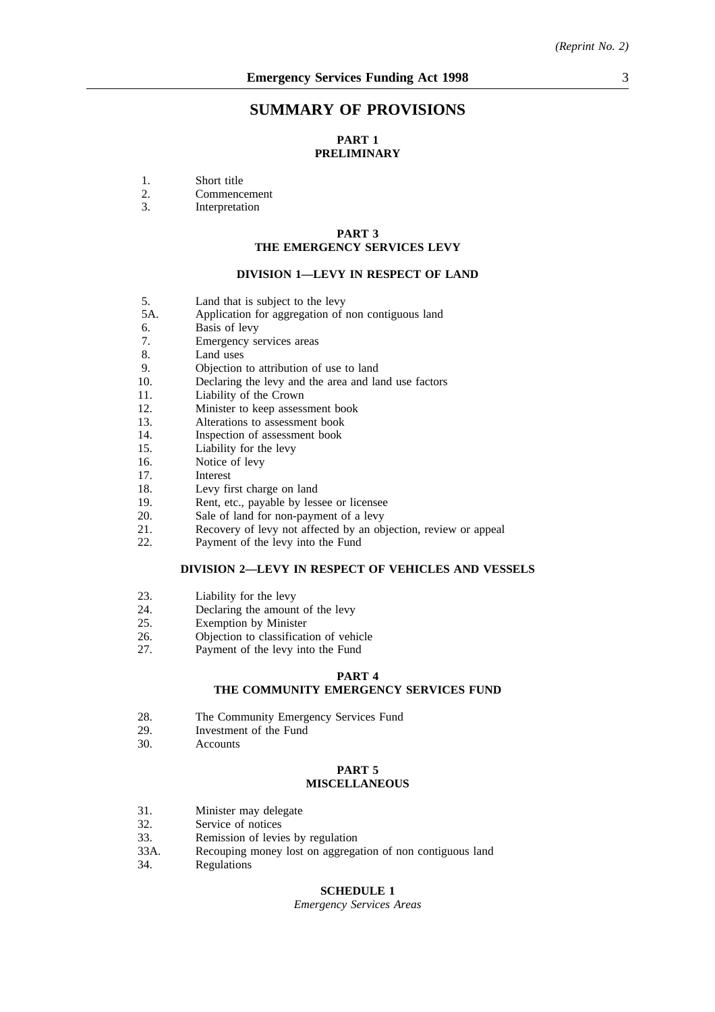## **SUMMARY OF PROVISIONS**

## **PART 1 PRELIMINARY**

- 1. Short title<br>2. Commenc
- 2. Commencement<br>3 Interpretation
- **Interpretation**

## **PART 3 THE EMERGENCY SERVICES LEVY**

## **DIVISION 1—LEVY IN RESPECT OF LAND**

- 5. Land that is subject to the levy<br>5A. Application for aggregation of t
- Application for aggregation of non contiguous land
- 6. Basis of levy<br>7. Emergency se
- Emergency services areas
- 8. Land uses
- 9. Objection to attribution of use to land
- 10. Declaring the levy and the area and land use factors
- 11. Liability of the Crown
- 12. Minister to keep assessment book
- 13. Alterations to assessment book
- 14. Inspection of assessment book
- 15. Liability for the levy
- 16. Notice of levy
- 17. Interest
- 18. Levy first charge on land
- 19. Rent, etc., payable by lessee or licensee
- 20. Sale of land for non-payment of a levy
- 21. Recovery of levy not affected by an objection, review or appeal
- 22. Payment of the levy into the Fund

### **DIVISION 2—LEVY IN RESPECT OF VEHICLES AND VESSELS**

- 23. Liability for the levy
- 24. Declaring the amount of the levy
- 25. Exemption by Minister
- 26. **Objection to classification of vehicle**<br>27. **Payment of the levy into the Fund**
- Payment of the levy into the Fund

## **PART 4**

## **THE COMMUNITY EMERGENCY SERVICES FUND**

- 28. The Community Emergency Services Fund<br>29. Investment of the Fund
- Investment of the Fund
- 30. Accounts

#### **PART 5 MISCELLANEOUS**

- 31. Minister may delegate
- 32. Service of notices
- 33. Remission of levies by regulation
- 33A. Recouping money lost on aggregation of non contiguous land
- 34. Regulations

## **SCHEDULE 1**

*Emergency Services Areas*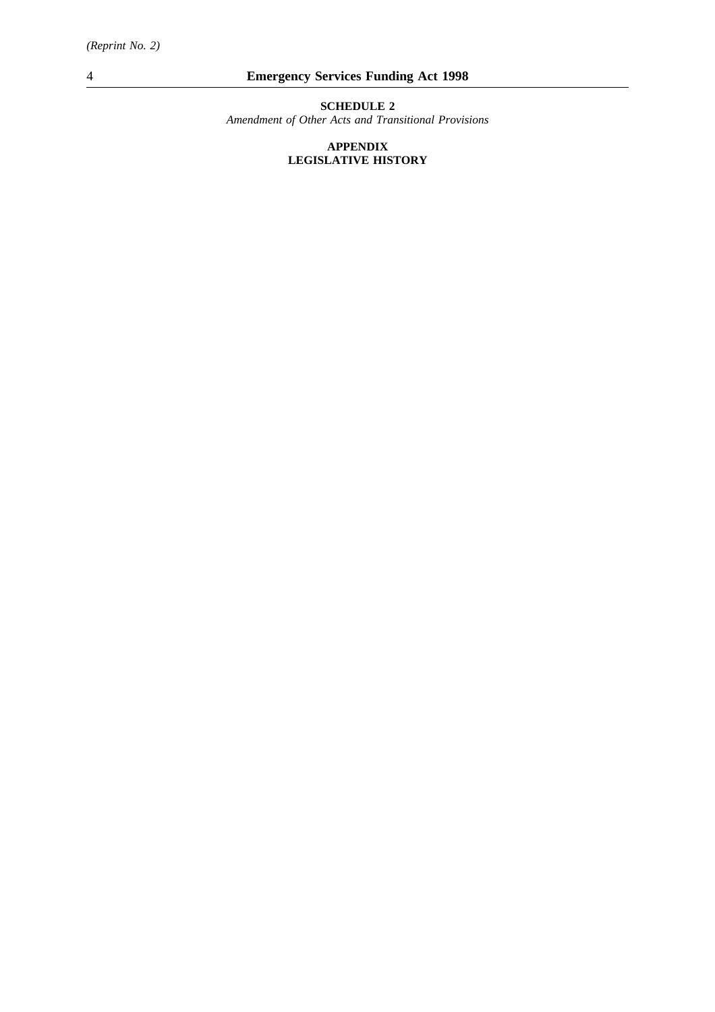**SCHEDULE 2**

*Amendment of Other Acts and Transitional Provisions*

## **APPENDIX LEGISLATIVE HISTORY**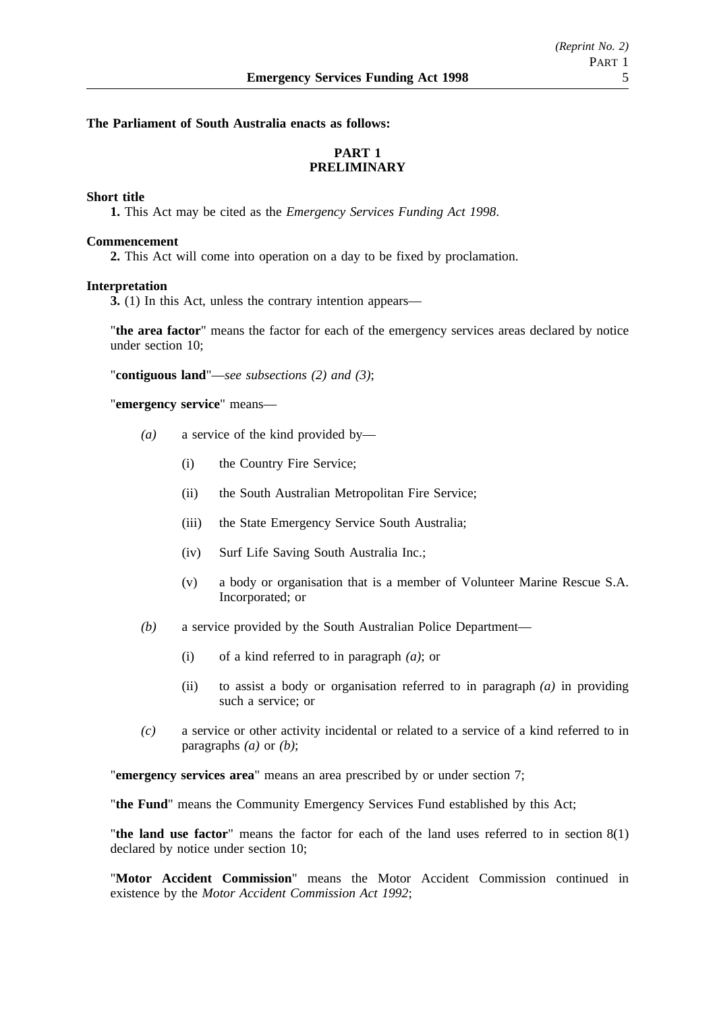## **The Parliament of South Australia enacts as follows:**

## **PART 1 PRELIMINARY**

## **Short title**

**1.** This Act may be cited as the *Emergency Services Funding Act 1998*.

### **Commencement**

**2.** This Act will come into operation on a day to be fixed by proclamation.

### **Interpretation**

**3.** (1) In this Act, unless the contrary intention appears—

"**the area factor**" means the factor for each of the emergency services areas declared by notice under section 10;

"**contiguous land**"—*see subsections (2) and (3)*;

"**emergency service**" means—

- *(a)* a service of the kind provided by—
	- (i) the Country Fire Service;
	- (ii) the South Australian Metropolitan Fire Service;
	- (iii) the State Emergency Service South Australia;
	- (iv) Surf Life Saving South Australia Inc.;
	- (v) a body or organisation that is a member of Volunteer Marine Rescue S.A. Incorporated; or
- *(b)* a service provided by the South Australian Police Department—
	- (i) of a kind referred to in paragraph *(a)*; or
	- (ii) to assist a body or organisation referred to in paragraph *(a)* in providing such a service; or
- *(c)* a service or other activity incidental or related to a service of a kind referred to in paragraphs *(a)* or *(b)*;

"**emergency services area**" means an area prescribed by or under section 7;

"**the Fund**" means the Community Emergency Services Fund established by this Act;

"**the land use factor**" means the factor for each of the land uses referred to in section 8(1) declared by notice under section 10;

"**Motor Accident Commission**" means the Motor Accident Commission continued in existence by the *Motor Accident Commission Act 1992*;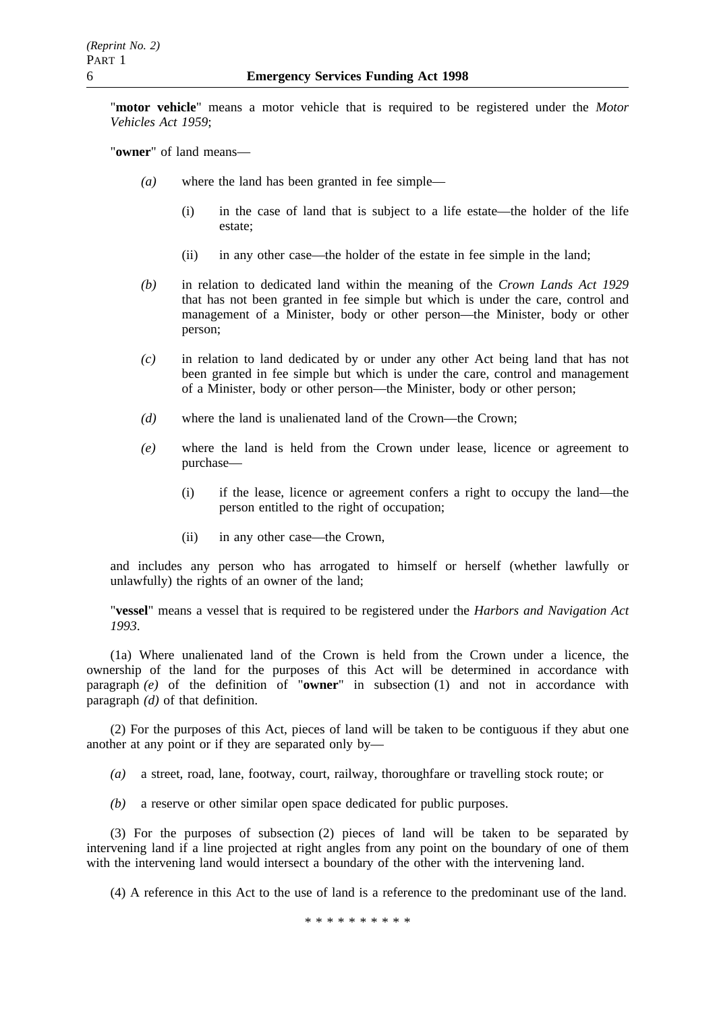"**motor vehicle**" means a motor vehicle that is required to be registered under the *Motor Vehicles Act 1959*;

"**owner**" of land means—

- *(a)* where the land has been granted in fee simple—
	- (i) in the case of land that is subject to a life estate—the holder of the life estate;
	- (ii) in any other case—the holder of the estate in fee simple in the land;
- *(b)* in relation to dedicated land within the meaning of the *Crown Lands Act 1929* that has not been granted in fee simple but which is under the care, control and management of a Minister, body or other person—the Minister, body or other person;
- *(c)* in relation to land dedicated by or under any other Act being land that has not been granted in fee simple but which is under the care, control and management of a Minister, body or other person—the Minister, body or other person;
- *(d)* where the land is unalienated land of the Crown—the Crown;
- *(e)* where the land is held from the Crown under lease, licence or agreement to purchase—
	- (i) if the lease, licence or agreement confers a right to occupy the land—the person entitled to the right of occupation;
	- (ii) in any other case—the Crown,

and includes any person who has arrogated to himself or herself (whether lawfully or unlawfully) the rights of an owner of the land;

"**vessel**" means a vessel that is required to be registered under the *Harbors and Navigation Act 1993*.

(1a) Where unalienated land of the Crown is held from the Crown under a licence, the ownership of the land for the purposes of this Act will be determined in accordance with paragraph *(e)* of the definition of "**owner**" in subsection (1) and not in accordance with paragraph *(d)* of that definition.

(2) For the purposes of this Act, pieces of land will be taken to be contiguous if they abut one another at any point or if they are separated only by—

*(a)* a street, road, lane, footway, court, railway, thoroughfare or travelling stock route; or

*(b)* a reserve or other similar open space dedicated for public purposes.

(3) For the purposes of subsection (2) pieces of land will be taken to be separated by intervening land if a line projected at right angles from any point on the boundary of one of them with the intervening land would intersect a boundary of the other with the intervening land.

(4) A reference in this Act to the use of land is a reference to the predominant use of the land.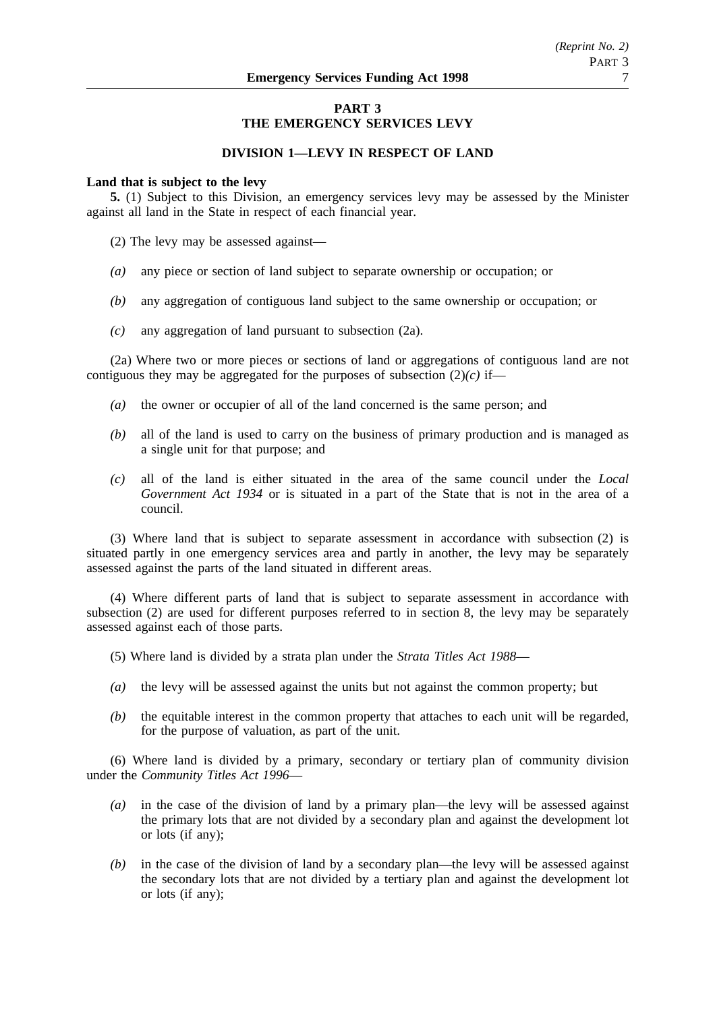## **PART 3 THE EMERGENCY SERVICES LEVY**

## **DIVISION 1—LEVY IN RESPECT OF LAND**

### **Land that is subject to the levy**

**5.** (1) Subject to this Division, an emergency services levy may be assessed by the Minister against all land in the State in respect of each financial year.

(2) The levy may be assessed against—

- *(a)* any piece or section of land subject to separate ownership or occupation; or
- *(b)* any aggregation of contiguous land subject to the same ownership or occupation; or
- *(c)* any aggregation of land pursuant to subsection (2a).

(2a) Where two or more pieces or sections of land or aggregations of contiguous land are not contiguous they may be aggregated for the purposes of subsection  $(2)(c)$  if—

- *(a)* the owner or occupier of all of the land concerned is the same person; and
- *(b)* all of the land is used to carry on the business of primary production and is managed as a single unit for that purpose; and
- *(c)* all of the land is either situated in the area of the same council under the *Local Government Act 1934* or is situated in a part of the State that is not in the area of a council.

(3) Where land that is subject to separate assessment in accordance with subsection (2) is situated partly in one emergency services area and partly in another, the levy may be separately assessed against the parts of the land situated in different areas.

(4) Where different parts of land that is subject to separate assessment in accordance with subsection (2) are used for different purposes referred to in section 8, the levy may be separately assessed against each of those parts.

- (5) Where land is divided by a strata plan under the *Strata Titles Act 1988*—
- *(a)* the levy will be assessed against the units but not against the common property; but
- *(b)* the equitable interest in the common property that attaches to each unit will be regarded, for the purpose of valuation, as part of the unit.

(6) Where land is divided by a primary, secondary or tertiary plan of community division under the *Community Titles Act 1996*—

- *(a)* in the case of the division of land by a primary plan—the levy will be assessed against the primary lots that are not divided by a secondary plan and against the development lot or lots (if any);
- *(b)* in the case of the division of land by a secondary plan—the levy will be assessed against the secondary lots that are not divided by a tertiary plan and against the development lot or lots (if any);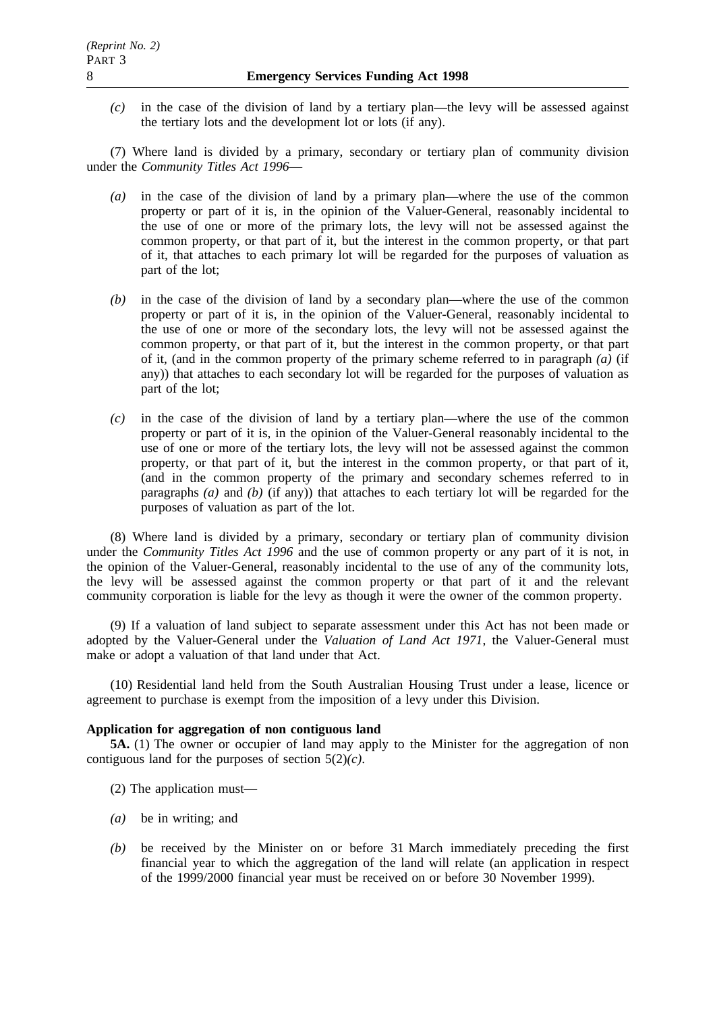*(c)* in the case of the division of land by a tertiary plan—the levy will be assessed against the tertiary lots and the development lot or lots (if any).

(7) Where land is divided by a primary, secondary or tertiary plan of community division under the *Community Titles Act 1996*—

- *(a)* in the case of the division of land by a primary plan—where the use of the common property or part of it is, in the opinion of the Valuer-General, reasonably incidental to the use of one or more of the primary lots, the levy will not be assessed against the common property, or that part of it, but the interest in the common property, or that part of it, that attaches to each primary lot will be regarded for the purposes of valuation as part of the lot;
- *(b)* in the case of the division of land by a secondary plan—where the use of the common property or part of it is, in the opinion of the Valuer-General, reasonably incidental to the use of one or more of the secondary lots, the levy will not be assessed against the common property, or that part of it, but the interest in the common property, or that part of it, (and in the common property of the primary scheme referred to in paragraph *(a)* (if any)) that attaches to each secondary lot will be regarded for the purposes of valuation as part of the lot;
- *(c)* in the case of the division of land by a tertiary plan—where the use of the common property or part of it is, in the opinion of the Valuer-General reasonably incidental to the use of one or more of the tertiary lots, the levy will not be assessed against the common property, or that part of it, but the interest in the common property, or that part of it, (and in the common property of the primary and secondary schemes referred to in paragraphs *(a)* and *(b)* (if any)) that attaches to each tertiary lot will be regarded for the purposes of valuation as part of the lot.

(8) Where land is divided by a primary, secondary or tertiary plan of community division under the *Community Titles Act 1996* and the use of common property or any part of it is not, in the opinion of the Valuer-General, reasonably incidental to the use of any of the community lots, the levy will be assessed against the common property or that part of it and the relevant community corporation is liable for the levy as though it were the owner of the common property.

(9) If a valuation of land subject to separate assessment under this Act has not been made or adopted by the Valuer-General under the *Valuation of Land Act 1971*, the Valuer-General must make or adopt a valuation of that land under that Act.

(10) Residential land held from the South Australian Housing Trust under a lease, licence or agreement to purchase is exempt from the imposition of a levy under this Division.

## **Application for aggregation of non contiguous land**

**5A.** (1) The owner or occupier of land may apply to the Minister for the aggregation of non contiguous land for the purposes of section 5(2)*(c)*.

- (2) The application must—
- *(a)* be in writing; and
- *(b)* be received by the Minister on or before 31 March immediately preceding the first financial year to which the aggregation of the land will relate (an application in respect of the 1999/2000 financial year must be received on or before 30 November 1999).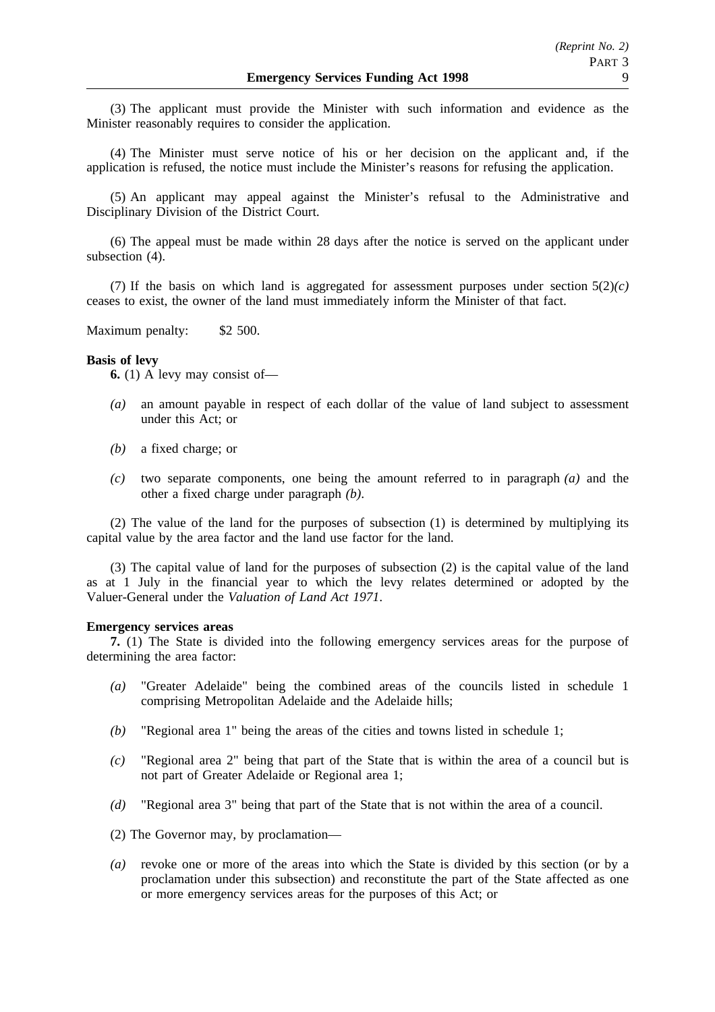(3) The applicant must provide the Minister with such information and evidence as the Minister reasonably requires to consider the application.

(4) The Minister must serve notice of his or her decision on the applicant and, if the application is refused, the notice must include the Minister's reasons for refusing the application.

(5) An applicant may appeal against the Minister's refusal to the Administrative and Disciplinary Division of the District Court.

(6) The appeal must be made within 28 days after the notice is served on the applicant under subsection (4).

(7) If the basis on which land is aggregated for assessment purposes under section  $5(2)(c)$ ceases to exist, the owner of the land must immediately inform the Minister of that fact.

Maximum penalty: \$2 500.

### **Basis of levy**

**6.** (1) A levy may consist of—

- *(a)* an amount payable in respect of each dollar of the value of land subject to assessment under this Act; or
- *(b)* a fixed charge; or
- *(c)* two separate components, one being the amount referred to in paragraph *(a)* and the other a fixed charge under paragraph *(b)*.

(2) The value of the land for the purposes of subsection (1) is determined by multiplying its capital value by the area factor and the land use factor for the land.

(3) The capital value of land for the purposes of subsection (2) is the capital value of the land as at 1 July in the financial year to which the levy relates determined or adopted by the Valuer-General under the *Valuation of Land Act 1971*.

#### **Emergency services areas**

**7.** (1) The State is divided into the following emergency services areas for the purpose of determining the area factor:

- *(a)* "Greater Adelaide" being the combined areas of the councils listed in schedule 1 comprising Metropolitan Adelaide and the Adelaide hills;
- *(b)* "Regional area 1" being the areas of the cities and towns listed in schedule 1;
- *(c)* "Regional area 2" being that part of the State that is within the area of a council but is not part of Greater Adelaide or Regional area 1;
- *(d)* "Regional area 3" being that part of the State that is not within the area of a council.
- (2) The Governor may, by proclamation—
- *(a)* revoke one or more of the areas into which the State is divided by this section (or by a proclamation under this subsection) and reconstitute the part of the State affected as one or more emergency services areas for the purposes of this Act; or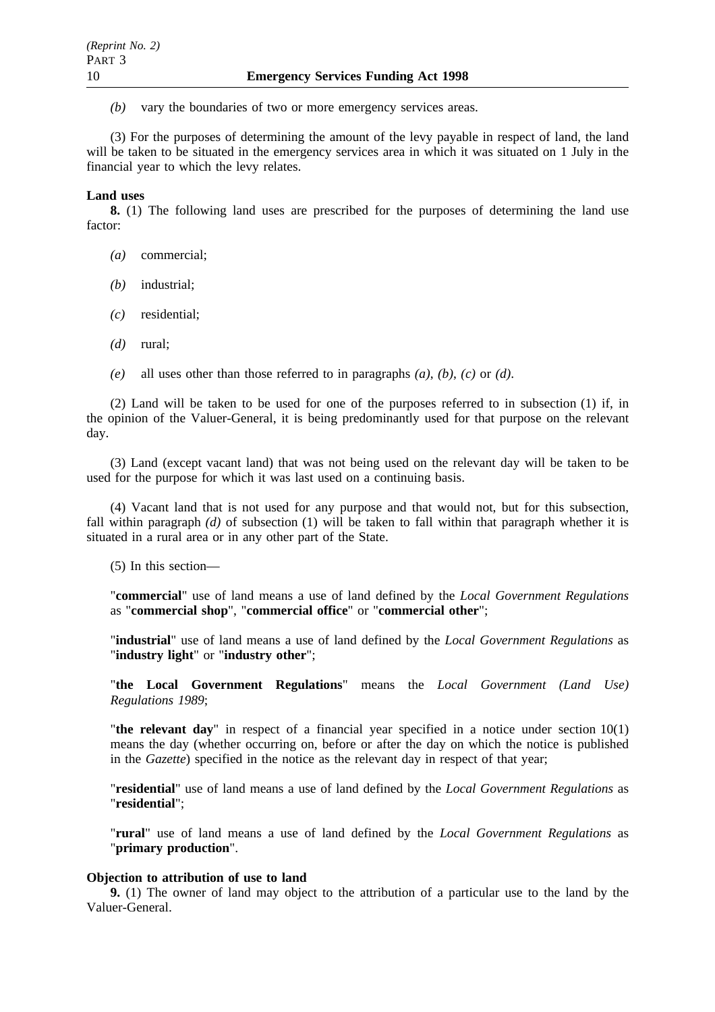*(b)* vary the boundaries of two or more emergency services areas.

(3) For the purposes of determining the amount of the levy payable in respect of land, the land will be taken to be situated in the emergency services area in which it was situated on 1 July in the financial year to which the levy relates.

### **Land uses**

**8.** (1) The following land uses are prescribed for the purposes of determining the land use factor:

- *(a)* commercial;
- *(b)* industrial;
- *(c)* residential;
- *(d)* rural;
- *(e)* all uses other than those referred to in paragraphs *(a)*, *(b)*, *(c)* or *(d)*.

(2) Land will be taken to be used for one of the purposes referred to in subsection (1) if, in the opinion of the Valuer-General, it is being predominantly used for that purpose on the relevant day.

(3) Land (except vacant land) that was not being used on the relevant day will be taken to be used for the purpose for which it was last used on a continuing basis.

(4) Vacant land that is not used for any purpose and that would not, but for this subsection, fall within paragraph *(d)* of subsection (1) will be taken to fall within that paragraph whether it is situated in a rural area or in any other part of the State.

(5) In this section—

"**commercial**" use of land means a use of land defined by the *Local Government Regulations* as "**commercial shop**", "**commercial office**" or "**commercial other**";

"**industrial**" use of land means a use of land defined by the *Local Government Regulations* as "**industry light**" or "**industry other**";

"**the Local Government Regulations**" means the *Local Government (Land Use) Regulations 1989*;

"**the relevant day**" in respect of a financial year specified in a notice under section 10(1) means the day (whether occurring on, before or after the day on which the notice is published in the *Gazette*) specified in the notice as the relevant day in respect of that year;

"**residential**" use of land means a use of land defined by the *Local Government Regulations* as "**residential**";

"**rural**" use of land means a use of land defined by the *Local Government Regulations* as "**primary production**".

## **Objection to attribution of use to land**

**9.** (1) The owner of land may object to the attribution of a particular use to the land by the Valuer-General.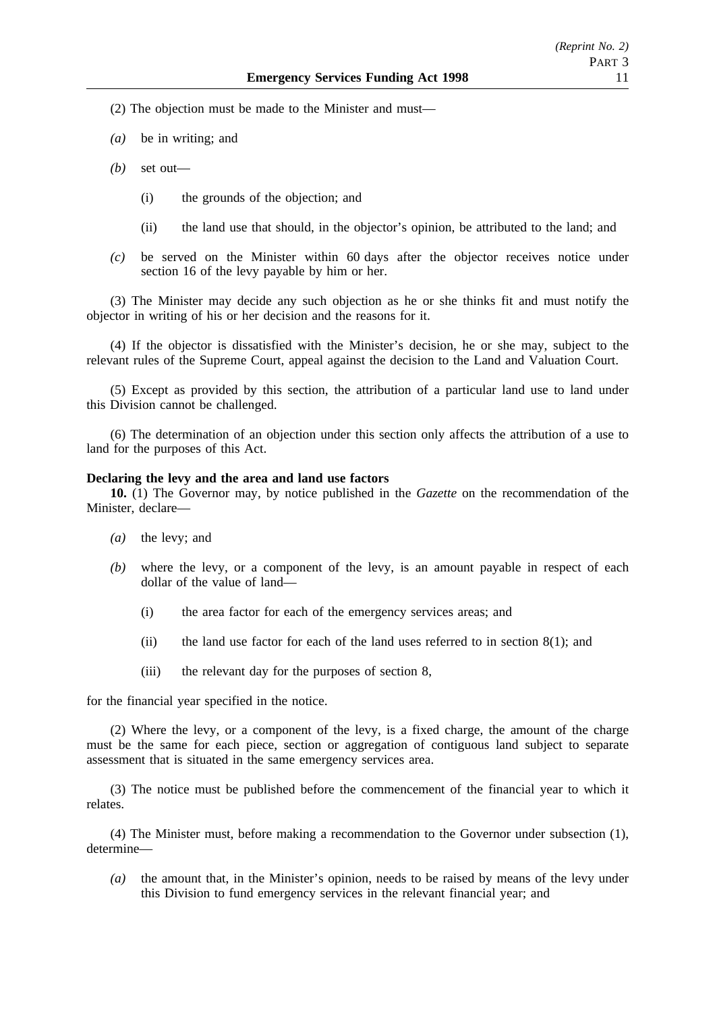(2) The objection must be made to the Minister and must—

- *(a)* be in writing; and
- *(b)* set out—
	- (i) the grounds of the objection; and
	- (ii) the land use that should, in the objector's opinion, be attributed to the land; and
- *(c)* be served on the Minister within 60 days after the objector receives notice under section 16 of the levy payable by him or her.

(3) The Minister may decide any such objection as he or she thinks fit and must notify the objector in writing of his or her decision and the reasons for it.

(4) If the objector is dissatisfied with the Minister's decision, he or she may, subject to the relevant rules of the Supreme Court, appeal against the decision to the Land and Valuation Court.

(5) Except as provided by this section, the attribution of a particular land use to land under this Division cannot be challenged.

(6) The determination of an objection under this section only affects the attribution of a use to land for the purposes of this Act.

#### **Declaring the levy and the area and land use factors**

**10.** (1) The Governor may, by notice published in the *Gazette* on the recommendation of the Minister, declare—

- *(a)* the levy; and
- *(b)* where the levy, or a component of the levy, is an amount payable in respect of each dollar of the value of land—
	- (i) the area factor for each of the emergency services areas; and
	- (ii) the land use factor for each of the land uses referred to in section  $8(1)$ ; and
	- (iii) the relevant day for the purposes of section 8,

for the financial year specified in the notice.

(2) Where the levy, or a component of the levy, is a fixed charge, the amount of the charge must be the same for each piece, section or aggregation of contiguous land subject to separate assessment that is situated in the same emergency services area.

(3) The notice must be published before the commencement of the financial year to which it relates.

(4) The Minister must, before making a recommendation to the Governor under subsection (1), determine—

*(a)* the amount that, in the Minister's opinion, needs to be raised by means of the levy under this Division to fund emergency services in the relevant financial year; and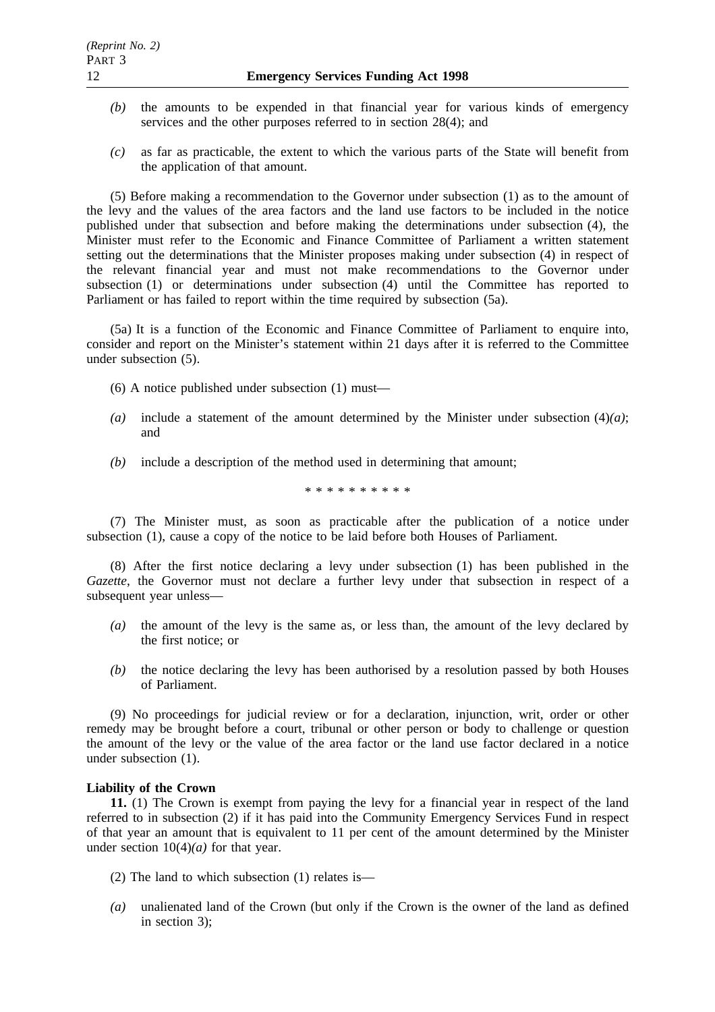- *(b)* the amounts to be expended in that financial year for various kinds of emergency services and the other purposes referred to in section 28(4); and
- *(c)* as far as practicable, the extent to which the various parts of the State will benefit from the application of that amount.

(5) Before making a recommendation to the Governor under subsection (1) as to the amount of the levy and the values of the area factors and the land use factors to be included in the notice published under that subsection and before making the determinations under subsection (4), the Minister must refer to the Economic and Finance Committee of Parliament a written statement setting out the determinations that the Minister proposes making under subsection (4) in respect of the relevant financial year and must not make recommendations to the Governor under subsection (1) or determinations under subsection (4) until the Committee has reported to Parliament or has failed to report within the time required by subsection (5a).

(5a) It is a function of the Economic and Finance Committee of Parliament to enquire into, consider and report on the Minister's statement within 21 days after it is referred to the Committee under subsection (5).

(6) A notice published under subsection (1) must—

- (a) include a statement of the amount determined by the Minister under subsection  $(4)(a)$ ; and
- *(b)* include a description of the method used in determining that amount;

\*\*\*\*\*\*\*\*\*\*

(7) The Minister must, as soon as practicable after the publication of a notice under subsection (1), cause a copy of the notice to be laid before both Houses of Parliament.

(8) After the first notice declaring a levy under subsection (1) has been published in the *Gazette*, the Governor must not declare a further levy under that subsection in respect of a subsequent year unless—

- *(a)* the amount of the levy is the same as, or less than, the amount of the levy declared by the first notice; or
- *(b)* the notice declaring the levy has been authorised by a resolution passed by both Houses of Parliament.

(9) No proceedings for judicial review or for a declaration, injunction, writ, order or other remedy may be brought before a court, tribunal or other person or body to challenge or question the amount of the levy or the value of the area factor or the land use factor declared in a notice under subsection (1).

## **Liability of the Crown**

**11.** (1) The Crown is exempt from paying the levy for a financial year in respect of the land referred to in subsection (2) if it has paid into the Community Emergency Services Fund in respect of that year an amount that is equivalent to 11 per cent of the amount determined by the Minister under section  $10(4)(a)$  for that year.

- (2) The land to which subsection (1) relates is—
- *(a)* unalienated land of the Crown (but only if the Crown is the owner of the land as defined in section 3);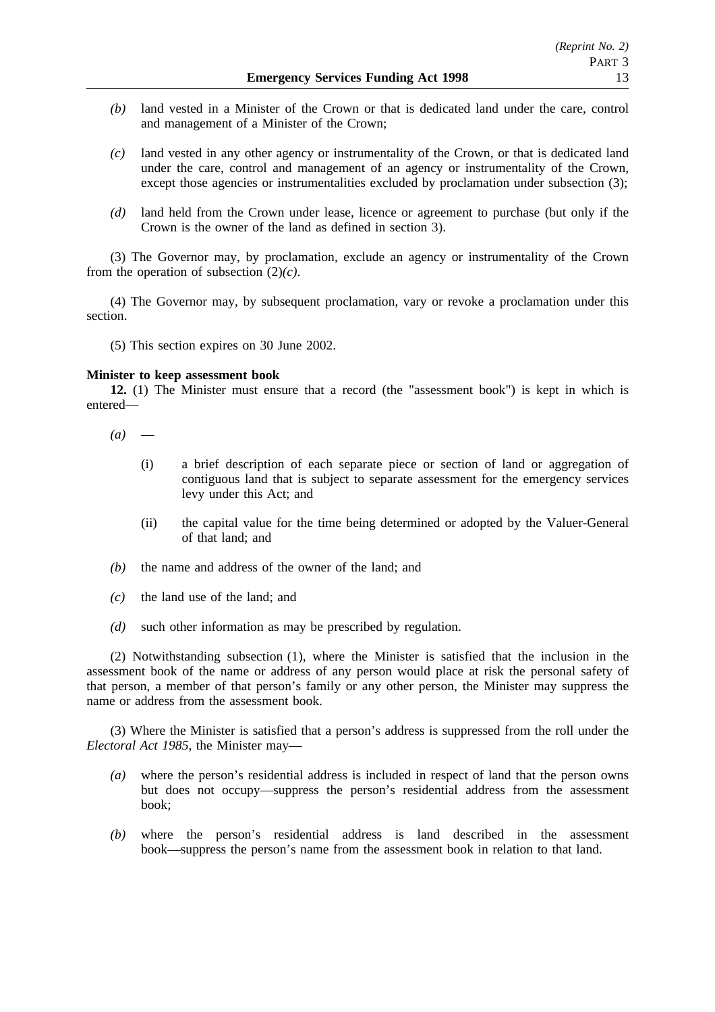- *(b)* land vested in a Minister of the Crown or that is dedicated land under the care, control and management of a Minister of the Crown;
- *(c)* land vested in any other agency or instrumentality of the Crown, or that is dedicated land under the care, control and management of an agency or instrumentality of the Crown, except those agencies or instrumentalities excluded by proclamation under subsection (3);
- *(d)* land held from the Crown under lease, licence or agreement to purchase (but only if the Crown is the owner of the land as defined in section 3).

(3) The Governor may, by proclamation, exclude an agency or instrumentality of the Crown from the operation of subsection (2)*(c)*.

(4) The Governor may, by subsequent proclamation, vary or revoke a proclamation under this section.

(5) This section expires on 30 June 2002.

### **Minister to keep assessment book**

**12.** (1) The Minister must ensure that a record (the "assessment book") is kept in which is entered—

- $(a)$ 
	- (i) a brief description of each separate piece or section of land or aggregation of contiguous land that is subject to separate assessment for the emergency services levy under this Act; and
	- (ii) the capital value for the time being determined or adopted by the Valuer-General of that land; and
- *(b)* the name and address of the owner of the land; and
- *(c)* the land use of the land; and
- *(d)* such other information as may be prescribed by regulation.

(2) Notwithstanding subsection (1), where the Minister is satisfied that the inclusion in the assessment book of the name or address of any person would place at risk the personal safety of that person, a member of that person's family or any other person, the Minister may suppress the name or address from the assessment book.

(3) Where the Minister is satisfied that a person's address is suppressed from the roll under the *Electoral Act 1985*, the Minister may—

- *(a)* where the person's residential address is included in respect of land that the person owns but does not occupy—suppress the person's residential address from the assessment book;
- *(b)* where the person's residential address is land described in the assessment book—suppress the person's name from the assessment book in relation to that land.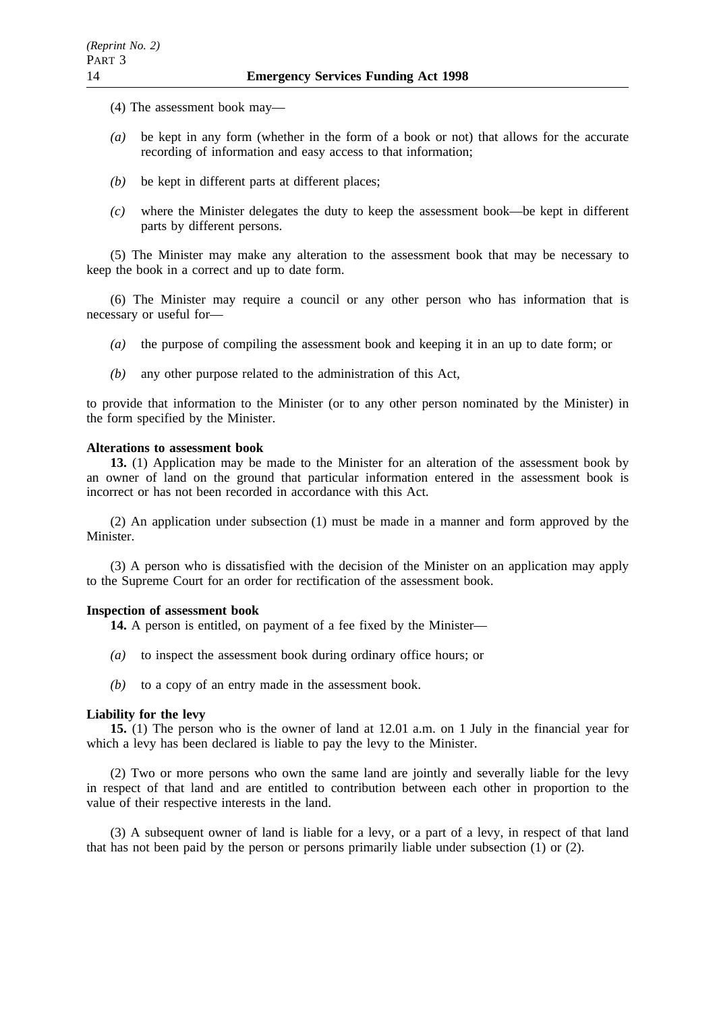- (4) The assessment book may—
- *(a)* be kept in any form (whether in the form of a book or not) that allows for the accurate recording of information and easy access to that information;
- *(b)* be kept in different parts at different places;
- *(c)* where the Minister delegates the duty to keep the assessment book—be kept in different parts by different persons.

(5) The Minister may make any alteration to the assessment book that may be necessary to keep the book in a correct and up to date form.

(6) The Minister may require a council or any other person who has information that is necessary or useful for—

- *(a)* the purpose of compiling the assessment book and keeping it in an up to date form; or
- *(b)* any other purpose related to the administration of this Act,

to provide that information to the Minister (or to any other person nominated by the Minister) in the form specified by the Minister.

#### **Alterations to assessment book**

**13.** (1) Application may be made to the Minister for an alteration of the assessment book by an owner of land on the ground that particular information entered in the assessment book is incorrect or has not been recorded in accordance with this Act.

(2) An application under subsection (1) must be made in a manner and form approved by the Minister.

(3) A person who is dissatisfied with the decision of the Minister on an application may apply to the Supreme Court for an order for rectification of the assessment book.

### **Inspection of assessment book**

- **14.** A person is entitled, on payment of a fee fixed by the Minister—
- *(a)* to inspect the assessment book during ordinary office hours; or
- *(b)* to a copy of an entry made in the assessment book.

## **Liability for the levy**

**15.** (1) The person who is the owner of land at 12.01 a.m. on 1 July in the financial year for which a levy has been declared is liable to pay the levy to the Minister.

(2) Two or more persons who own the same land are jointly and severally liable for the levy in respect of that land and are entitled to contribution between each other in proportion to the value of their respective interests in the land.

(3) A subsequent owner of land is liable for a levy, or a part of a levy, in respect of that land that has not been paid by the person or persons primarily liable under subsection  $(1)$  or  $(2)$ .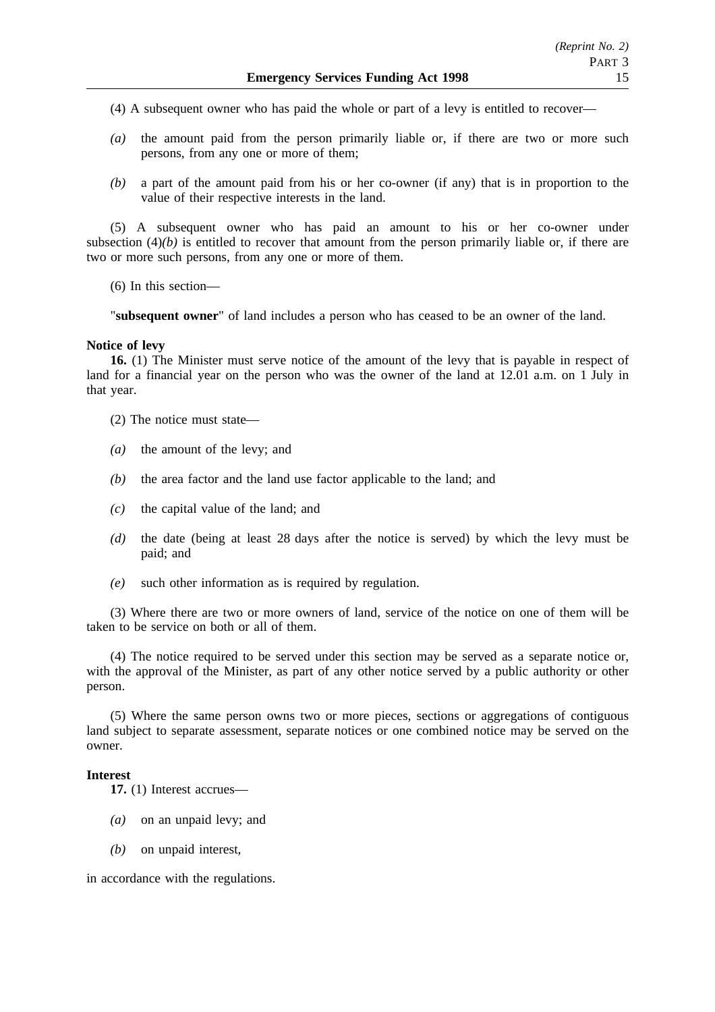(4) A subsequent owner who has paid the whole or part of a levy is entitled to recover—

- *(a)* the amount paid from the person primarily liable or, if there are two or more such persons, from any one or more of them;
- *(b)* a part of the amount paid from his or her co-owner (if any) that is in proportion to the value of their respective interests in the land.

(5) A subsequent owner who has paid an amount to his or her co-owner under subsection  $(4)(b)$  is entitled to recover that amount from the person primarily liable or, if there are two or more such persons, from any one or more of them.

(6) In this section—

"**subsequent owner**" of land includes a person who has ceased to be an owner of the land.

### **Notice of levy**

**16.** (1) The Minister must serve notice of the amount of the levy that is payable in respect of land for a financial year on the person who was the owner of the land at 12.01 a.m. on 1 July in that year.

(2) The notice must state—

- *(a)* the amount of the levy; and
- *(b)* the area factor and the land use factor applicable to the land; and
- *(c)* the capital value of the land; and
- *(d)* the date (being at least 28 days after the notice is served) by which the levy must be paid; and
- *(e)* such other information as is required by regulation.

(3) Where there are two or more owners of land, service of the notice on one of them will be taken to be service on both or all of them.

(4) The notice required to be served under this section may be served as a separate notice or, with the approval of the Minister, as part of any other notice served by a public authority or other person.

(5) Where the same person owns two or more pieces, sections or aggregations of contiguous land subject to separate assessment, separate notices or one combined notice may be served on the owner.

#### **Interest**

**17.** (1) Interest accrues—

- *(a)* on an unpaid levy; and
- *(b)* on unpaid interest,

in accordance with the regulations.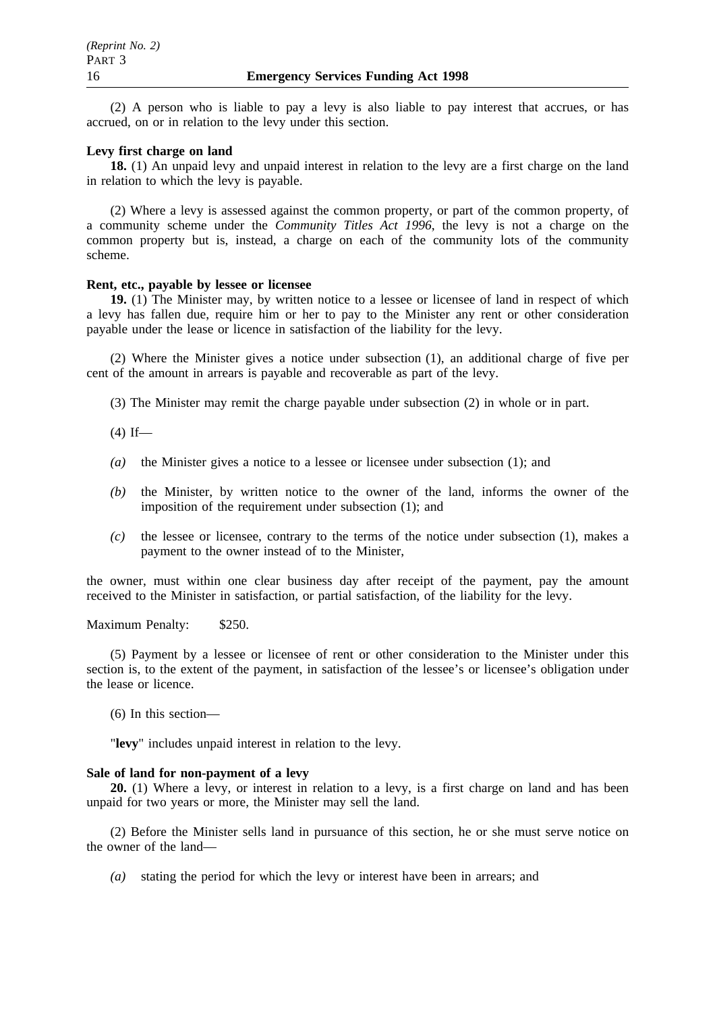(2) A person who is liable to pay a levy is also liable to pay interest that accrues, or has accrued, on or in relation to the levy under this section.

## **Levy first charge on land**

**18.** (1) An unpaid levy and unpaid interest in relation to the levy are a first charge on the land in relation to which the levy is payable.

(2) Where a levy is assessed against the common property, or part of the common property, of a community scheme under the *Community Titles Act 1996*, the levy is not a charge on the common property but is, instead, a charge on each of the community lots of the community scheme.

## **Rent, etc., payable by lessee or licensee**

**19.** (1) The Minister may, by written notice to a lessee or licensee of land in respect of which a levy has fallen due, require him or her to pay to the Minister any rent or other consideration payable under the lease or licence in satisfaction of the liability for the levy.

(2) Where the Minister gives a notice under subsection (1), an additional charge of five per cent of the amount in arrears is payable and recoverable as part of the levy.

(3) The Minister may remit the charge payable under subsection (2) in whole or in part.

 $(4)$  If—

- *(a)* the Minister gives a notice to a lessee or licensee under subsection (1); and
- *(b)* the Minister, by written notice to the owner of the land, informs the owner of the imposition of the requirement under subsection (1); and
- *(c)* the lessee or licensee, contrary to the terms of the notice under subsection (1), makes a payment to the owner instead of to the Minister,

the owner, must within one clear business day after receipt of the payment, pay the amount received to the Minister in satisfaction, or partial satisfaction, of the liability for the levy.

Maximum Penalty: \$250.

(5) Payment by a lessee or licensee of rent or other consideration to the Minister under this section is, to the extent of the payment, in satisfaction of the lessee's or licensee's obligation under the lease or licence.

(6) In this section—

"**levy**" includes unpaid interest in relation to the levy.

## **Sale of land for non-payment of a levy**

**20.** (1) Where a levy, or interest in relation to a levy, is a first charge on land and has been unpaid for two years or more, the Minister may sell the land.

(2) Before the Minister sells land in pursuance of this section, he or she must serve notice on the owner of the land—

*(a)* stating the period for which the levy or interest have been in arrears; and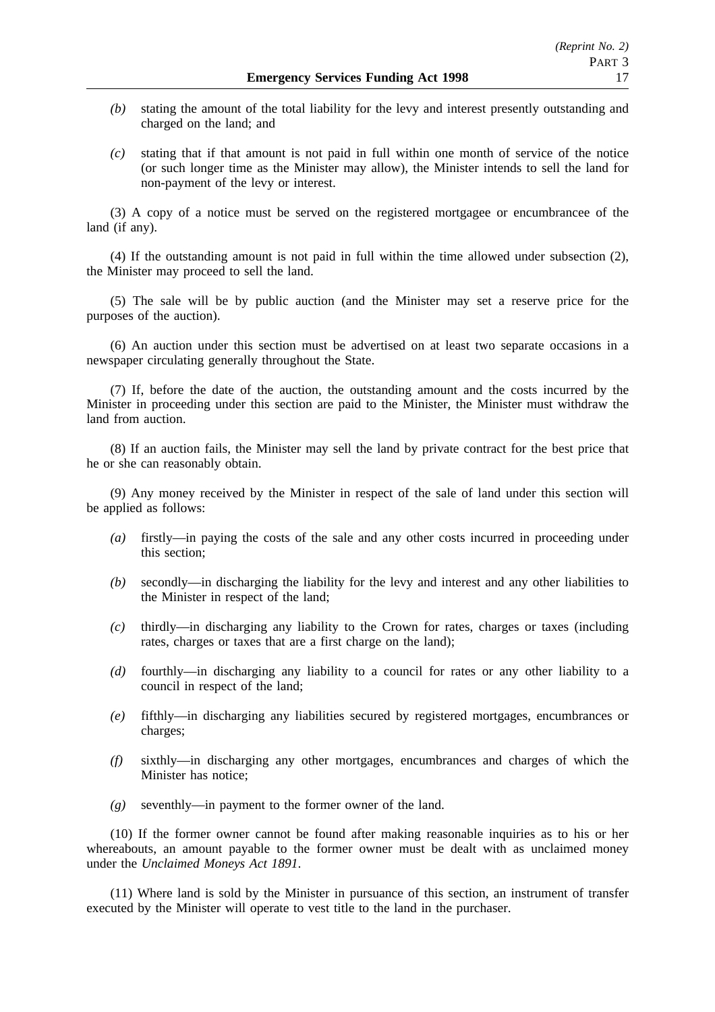- *(b)* stating the amount of the total liability for the levy and interest presently outstanding and charged on the land; and
- *(c)* stating that if that amount is not paid in full within one month of service of the notice (or such longer time as the Minister may allow), the Minister intends to sell the land for non-payment of the levy or interest.

(3) A copy of a notice must be served on the registered mortgagee or encumbrancee of the land (if any).

(4) If the outstanding amount is not paid in full within the time allowed under subsection (2), the Minister may proceed to sell the land.

(5) The sale will be by public auction (and the Minister may set a reserve price for the purposes of the auction).

(6) An auction under this section must be advertised on at least two separate occasions in a newspaper circulating generally throughout the State.

(7) If, before the date of the auction, the outstanding amount and the costs incurred by the Minister in proceeding under this section are paid to the Minister, the Minister must withdraw the land from auction.

(8) If an auction fails, the Minister may sell the land by private contract for the best price that he or she can reasonably obtain.

(9) Any money received by the Minister in respect of the sale of land under this section will be applied as follows:

- *(a)* firstly—in paying the costs of the sale and any other costs incurred in proceeding under this section;
- *(b)* secondly—in discharging the liability for the levy and interest and any other liabilities to the Minister in respect of the land;
- *(c)* thirdly—in discharging any liability to the Crown for rates, charges or taxes (including rates, charges or taxes that are a first charge on the land);
- *(d)* fourthly—in discharging any liability to a council for rates or any other liability to a council in respect of the land;
- *(e)* fifthly—in discharging any liabilities secured by registered mortgages, encumbrances or charges;
- *(f)* sixthly—in discharging any other mortgages, encumbrances and charges of which the Minister has notice;
- *(g)* seventhly—in payment to the former owner of the land.

(10) If the former owner cannot be found after making reasonable inquiries as to his or her whereabouts, an amount payable to the former owner must be dealt with as unclaimed money under the *Unclaimed Moneys Act 1891*.

(11) Where land is sold by the Minister in pursuance of this section, an instrument of transfer executed by the Minister will operate to vest title to the land in the purchaser.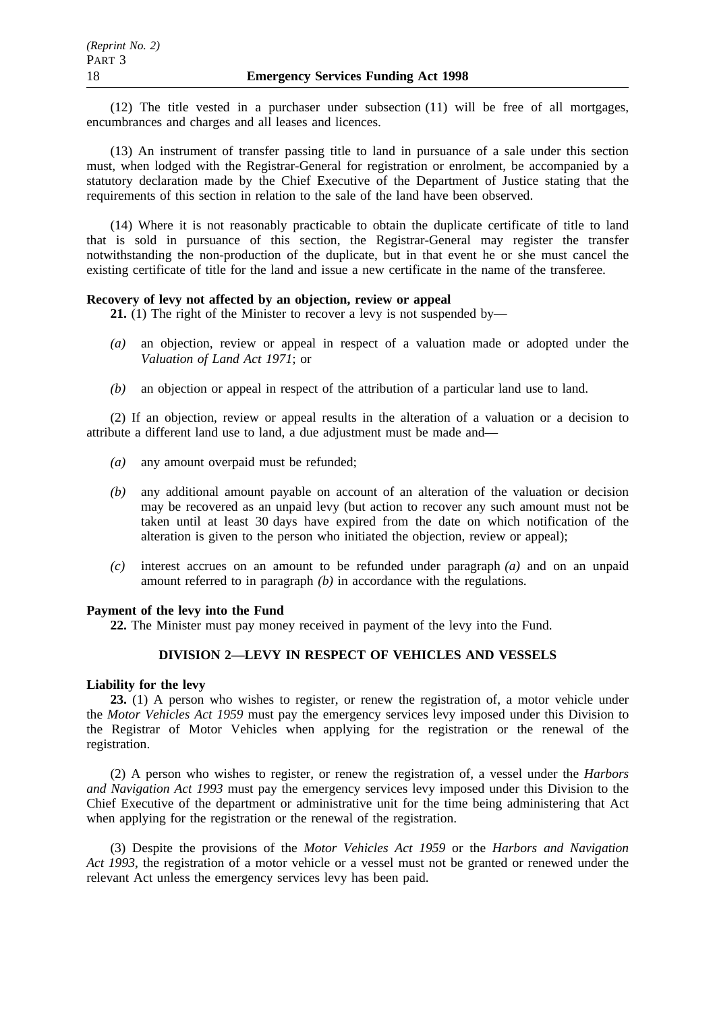(12) The title vested in a purchaser under subsection (11) will be free of all mortgages, encumbrances and charges and all leases and licences.

(13) An instrument of transfer passing title to land in pursuance of a sale under this section must, when lodged with the Registrar-General for registration or enrolment, be accompanied by a statutory declaration made by the Chief Executive of the Department of Justice stating that the requirements of this section in relation to the sale of the land have been observed.

(14) Where it is not reasonably practicable to obtain the duplicate certificate of title to land that is sold in pursuance of this section, the Registrar-General may register the transfer notwithstanding the non-production of the duplicate, but in that event he or she must cancel the existing certificate of title for the land and issue a new certificate in the name of the transferee.

## **Recovery of levy not affected by an objection, review or appeal**

**21.** (1) The right of the Minister to recover a levy is not suspended by—

- *(a)* an objection, review or appeal in respect of a valuation made or adopted under the *Valuation of Land Act 1971*; or
- *(b)* an objection or appeal in respect of the attribution of a particular land use to land.

(2) If an objection, review or appeal results in the alteration of a valuation or a decision to attribute a different land use to land, a due adjustment must be made and—

- *(a)* any amount overpaid must be refunded;
- *(b)* any additional amount payable on account of an alteration of the valuation or decision may be recovered as an unpaid levy (but action to recover any such amount must not be taken until at least 30 days have expired from the date on which notification of the alteration is given to the person who initiated the objection, review or appeal);
- *(c)* interest accrues on an amount to be refunded under paragraph *(a)* and on an unpaid amount referred to in paragraph *(b)* in accordance with the regulations.

## **Payment of the levy into the Fund**

**22.** The Minister must pay money received in payment of the levy into the Fund.

## **DIVISION 2—LEVY IN RESPECT OF VEHICLES AND VESSELS**

## **Liability for the levy**

**23.** (1) A person who wishes to register, or renew the registration of, a motor vehicle under the *Motor Vehicles Act 1959* must pay the emergency services levy imposed under this Division to the Registrar of Motor Vehicles when applying for the registration or the renewal of the registration.

(2) A person who wishes to register, or renew the registration of, a vessel under the *Harbors and Navigation Act 1993* must pay the emergency services levy imposed under this Division to the Chief Executive of the department or administrative unit for the time being administering that Act when applying for the registration or the renewal of the registration.

(3) Despite the provisions of the *Motor Vehicles Act 1959* or the *Harbors and Navigation Act 1993*, the registration of a motor vehicle or a vessel must not be granted or renewed under the relevant Act unless the emergency services levy has been paid.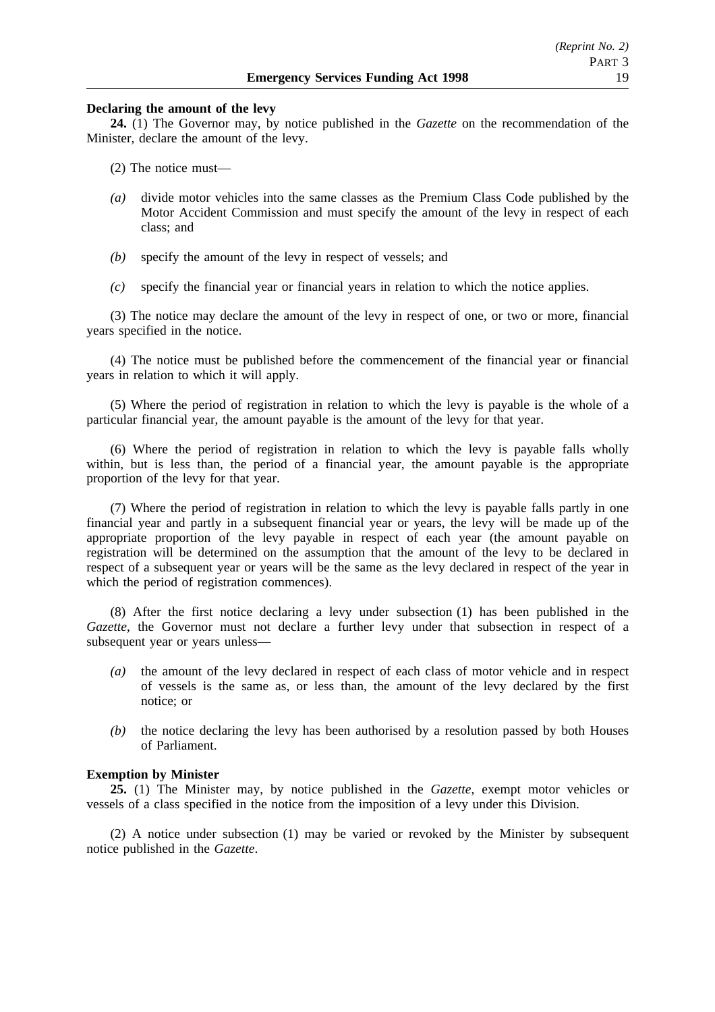## **Declaring the amount of the levy**

**24.** (1) The Governor may, by notice published in the *Gazette* on the recommendation of the Minister, declare the amount of the levy.

(2) The notice must—

- *(a)* divide motor vehicles into the same classes as the Premium Class Code published by the Motor Accident Commission and must specify the amount of the levy in respect of each class; and
- *(b)* specify the amount of the levy in respect of vessels; and
- *(c)* specify the financial year or financial years in relation to which the notice applies.

(3) The notice may declare the amount of the levy in respect of one, or two or more, financial years specified in the notice.

(4) The notice must be published before the commencement of the financial year or financial years in relation to which it will apply.

(5) Where the period of registration in relation to which the levy is payable is the whole of a particular financial year, the amount payable is the amount of the levy for that year.

(6) Where the period of registration in relation to which the levy is payable falls wholly within, but is less than, the period of a financial year, the amount payable is the appropriate proportion of the levy for that year.

(7) Where the period of registration in relation to which the levy is payable falls partly in one financial year and partly in a subsequent financial year or years, the levy will be made up of the appropriate proportion of the levy payable in respect of each year (the amount payable on registration will be determined on the assumption that the amount of the levy to be declared in respect of a subsequent year or years will be the same as the levy declared in respect of the year in which the period of registration commences).

(8) After the first notice declaring a levy under subsection (1) has been published in the *Gazette*, the Governor must not declare a further levy under that subsection in respect of a subsequent year or years unless—

- *(a)* the amount of the levy declared in respect of each class of motor vehicle and in respect of vessels is the same as, or less than, the amount of the levy declared by the first notice; or
- *(b)* the notice declaring the levy has been authorised by a resolution passed by both Houses of Parliament.

## **Exemption by Minister**

**25.** (1) The Minister may, by notice published in the *Gazette*, exempt motor vehicles or vessels of a class specified in the notice from the imposition of a levy under this Division.

(2) A notice under subsection (1) may be varied or revoked by the Minister by subsequent notice published in the *Gazette*.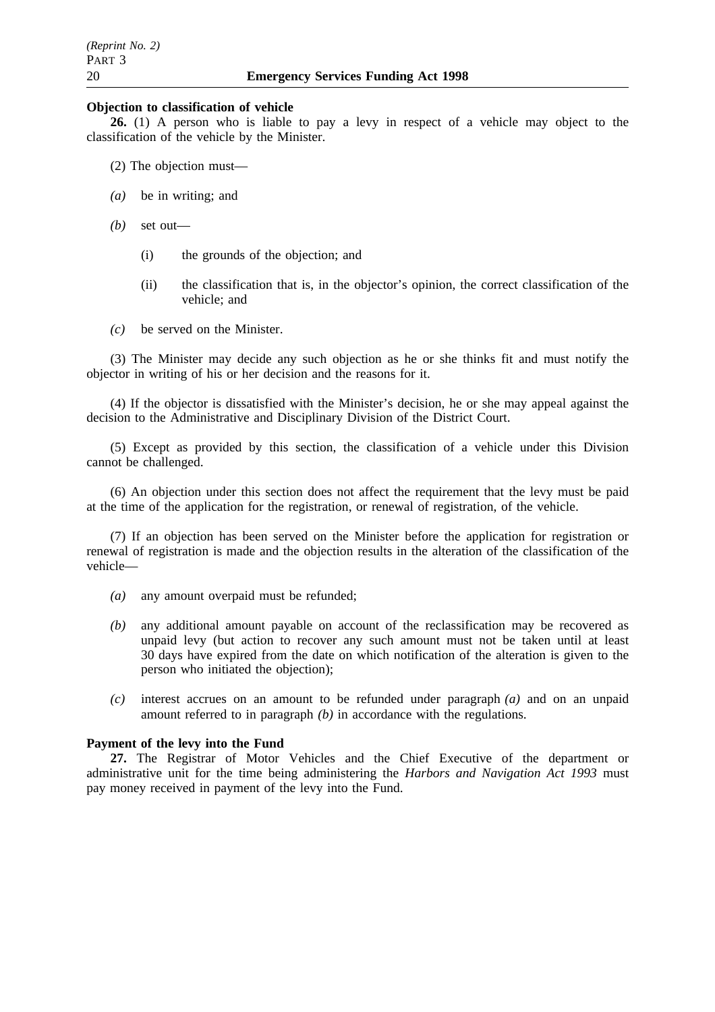### **Objection to classification of vehicle**

**26.** (1) A person who is liable to pay a levy in respect of a vehicle may object to the classification of the vehicle by the Minister.

- (2) The objection must—
- *(a)* be in writing; and
- *(b)* set out—
	- (i) the grounds of the objection; and
	- (ii) the classification that is, in the objector's opinion, the correct classification of the vehicle; and
- *(c)* be served on the Minister.

(3) The Minister may decide any such objection as he or she thinks fit and must notify the objector in writing of his or her decision and the reasons for it.

(4) If the objector is dissatisfied with the Minister's decision, he or she may appeal against the decision to the Administrative and Disciplinary Division of the District Court.

(5) Except as provided by this section, the classification of a vehicle under this Division cannot be challenged.

(6) An objection under this section does not affect the requirement that the levy must be paid at the time of the application for the registration, or renewal of registration, of the vehicle.

(7) If an objection has been served on the Minister before the application for registration or renewal of registration is made and the objection results in the alteration of the classification of the vehicle—

- *(a)* any amount overpaid must be refunded;
- *(b)* any additional amount payable on account of the reclassification may be recovered as unpaid levy (but action to recover any such amount must not be taken until at least 30 days have expired from the date on which notification of the alteration is given to the person who initiated the objection);
- *(c)* interest accrues on an amount to be refunded under paragraph *(a)* and on an unpaid amount referred to in paragraph *(b)* in accordance with the regulations.

## **Payment of the levy into the Fund**

**27.** The Registrar of Motor Vehicles and the Chief Executive of the department or administrative unit for the time being administering the *Harbors and Navigation Act 1993* must pay money received in payment of the levy into the Fund.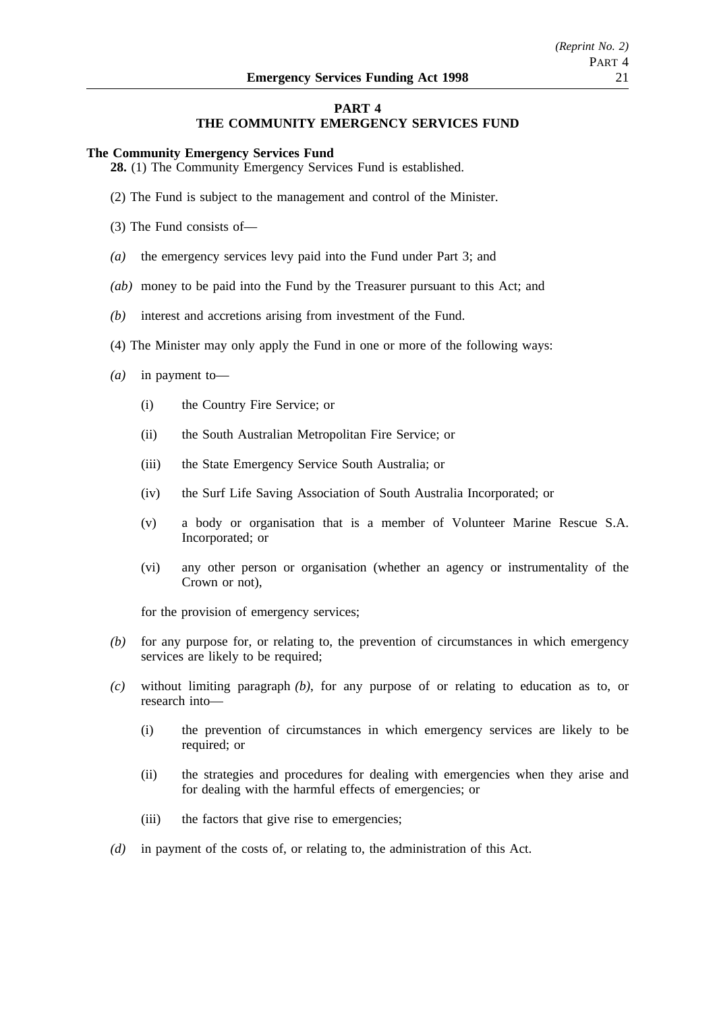## **PART 4**

## **THE COMMUNITY EMERGENCY SERVICES FUND**

#### **The Community Emergency Services Fund**

**28.** (1) The Community Emergency Services Fund is established.

- (2) The Fund is subject to the management and control of the Minister.
- (3) The Fund consists of—
- *(a)* the emergency services levy paid into the Fund under Part 3; and
- *(ab)* money to be paid into the Fund by the Treasurer pursuant to this Act; and
- *(b)* interest and accretions arising from investment of the Fund.
- (4) The Minister may only apply the Fund in one or more of the following ways:
- *(a)* in payment to—
	- (i) the Country Fire Service; or
	- (ii) the South Australian Metropolitan Fire Service; or
	- (iii) the State Emergency Service South Australia; or
	- (iv) the Surf Life Saving Association of South Australia Incorporated; or
	- (v) a body or organisation that is a member of Volunteer Marine Rescue S.A. Incorporated; or
	- (vi) any other person or organisation (whether an agency or instrumentality of the Crown or not),

for the provision of emergency services;

- *(b)* for any purpose for, or relating to, the prevention of circumstances in which emergency services are likely to be required;
- *(c)* without limiting paragraph *(b)*, for any purpose of or relating to education as to, or research into—
	- (i) the prevention of circumstances in which emergency services are likely to be required; or
	- (ii) the strategies and procedures for dealing with emergencies when they arise and for dealing with the harmful effects of emergencies; or
	- (iii) the factors that give rise to emergencies;
- *(d)* in payment of the costs of, or relating to, the administration of this Act.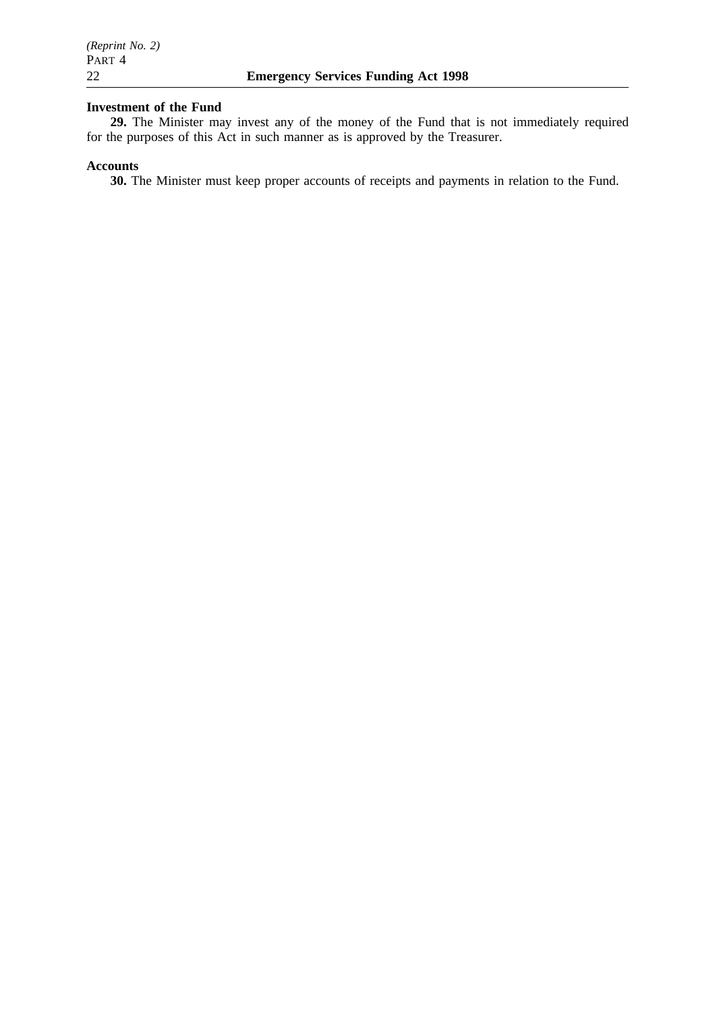## **Investment of the Fund**

**29.** The Minister may invest any of the money of the Fund that is not immediately required for the purposes of this Act in such manner as is approved by the Treasurer.

## **Accounts**

**30.** The Minister must keep proper accounts of receipts and payments in relation to the Fund.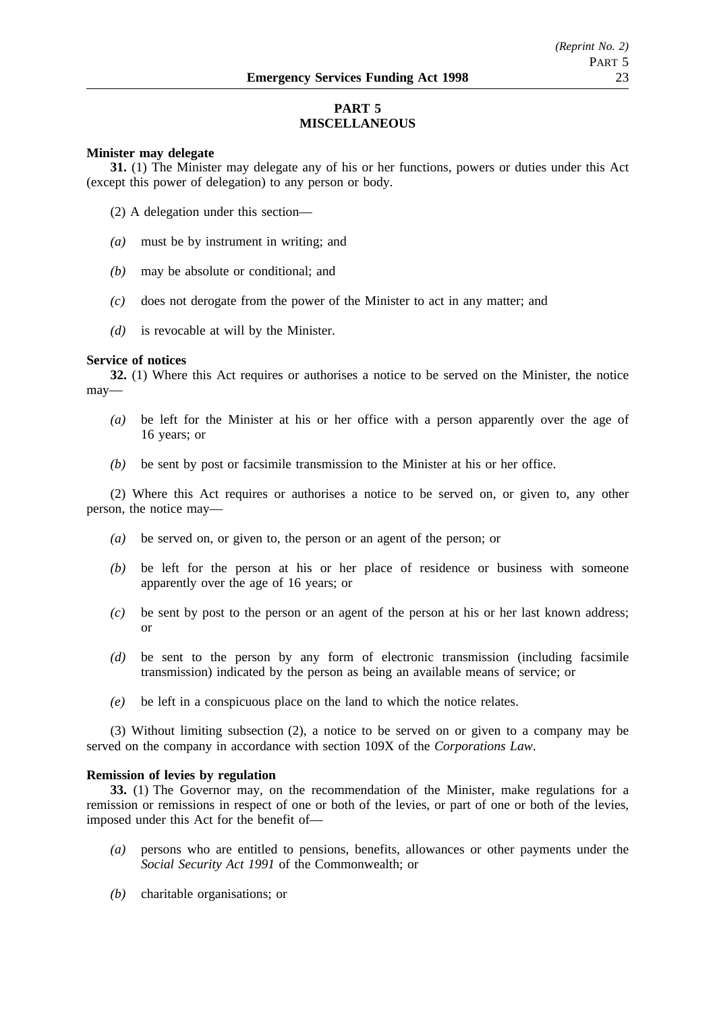## **PART 5 MISCELLANEOUS**

## **Minister may delegate**

**31.** (1) The Minister may delegate any of his or her functions, powers or duties under this Act (except this power of delegation) to any person or body.

- (2) A delegation under this section—
- *(a)* must be by instrument in writing; and
- *(b)* may be absolute or conditional; and
- *(c)* does not derogate from the power of the Minister to act in any matter; and
- *(d)* is revocable at will by the Minister.

### **Service of notices**

**32.** (1) Where this Act requires or authorises a notice to be served on the Minister, the notice may—

- *(a)* be left for the Minister at his or her office with a person apparently over the age of 16 years; or
- *(b)* be sent by post or facsimile transmission to the Minister at his or her office.

(2) Where this Act requires or authorises a notice to be served on, or given to, any other person, the notice may—

- *(a)* be served on, or given to, the person or an agent of the person; or
- *(b)* be left for the person at his or her place of residence or business with someone apparently over the age of 16 years; or
- *(c)* be sent by post to the person or an agent of the person at his or her last known address; or
- *(d)* be sent to the person by any form of electronic transmission (including facsimile transmission) indicated by the person as being an available means of service; or
- *(e)* be left in a conspicuous place on the land to which the notice relates.

(3) Without limiting subsection (2), a notice to be served on or given to a company may be served on the company in accordance with section 109X of the *Corporations Law*.

### **Remission of levies by regulation**

**33.** (1) The Governor may, on the recommendation of the Minister, make regulations for a remission or remissions in respect of one or both of the levies, or part of one or both of the levies, imposed under this Act for the benefit of—

- *(a)* persons who are entitled to pensions, benefits, allowances or other payments under the *Social Security Act 1991* of the Commonwealth; or
- *(b)* charitable organisations; or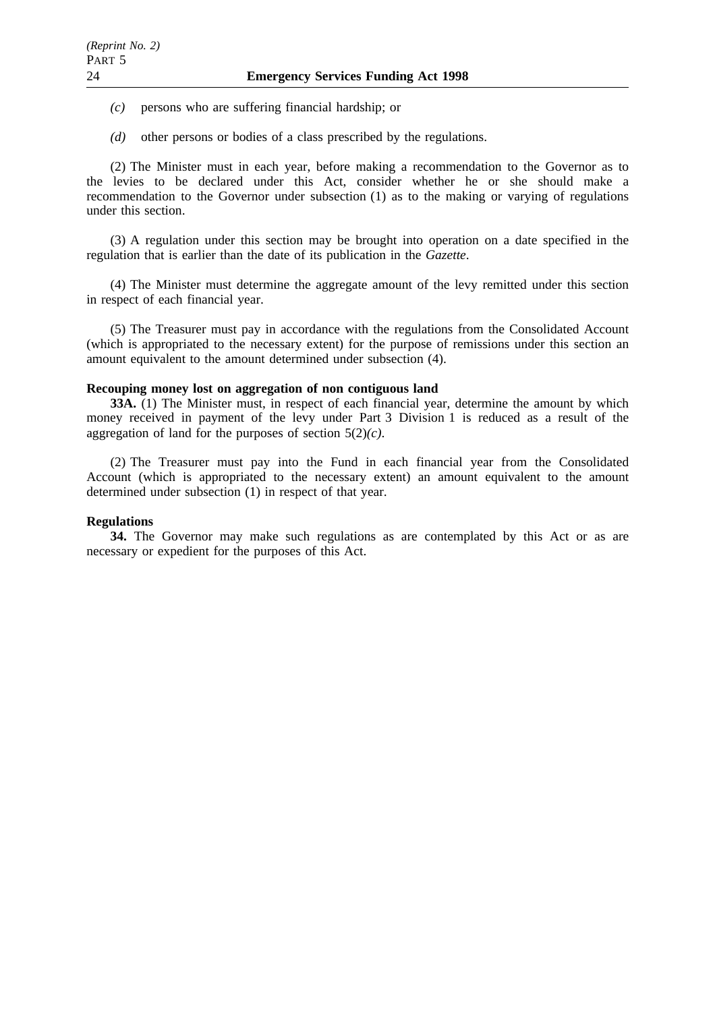- *(c)* persons who are suffering financial hardship; or
- *(d)* other persons or bodies of a class prescribed by the regulations.

(2) The Minister must in each year, before making a recommendation to the Governor as to the levies to be declared under this Act, consider whether he or she should make a recommendation to the Governor under subsection (1) as to the making or varying of regulations under this section.

(3) A regulation under this section may be brought into operation on a date specified in the regulation that is earlier than the date of its publication in the *Gazette*.

(4) The Minister must determine the aggregate amount of the levy remitted under this section in respect of each financial year.

(5) The Treasurer must pay in accordance with the regulations from the Consolidated Account (which is appropriated to the necessary extent) for the purpose of remissions under this section an amount equivalent to the amount determined under subsection (4).

## **Recouping money lost on aggregation of non contiguous land**

**33A.** (1) The Minister must, in respect of each financial year, determine the amount by which money received in payment of the levy under Part 3 Division 1 is reduced as a result of the aggregation of land for the purposes of section 5(2)*(c)*.

(2) The Treasurer must pay into the Fund in each financial year from the Consolidated Account (which is appropriated to the necessary extent) an amount equivalent to the amount determined under subsection (1) in respect of that year.

## **Regulations**

**34.** The Governor may make such regulations as are contemplated by this Act or as are necessary or expedient for the purposes of this Act.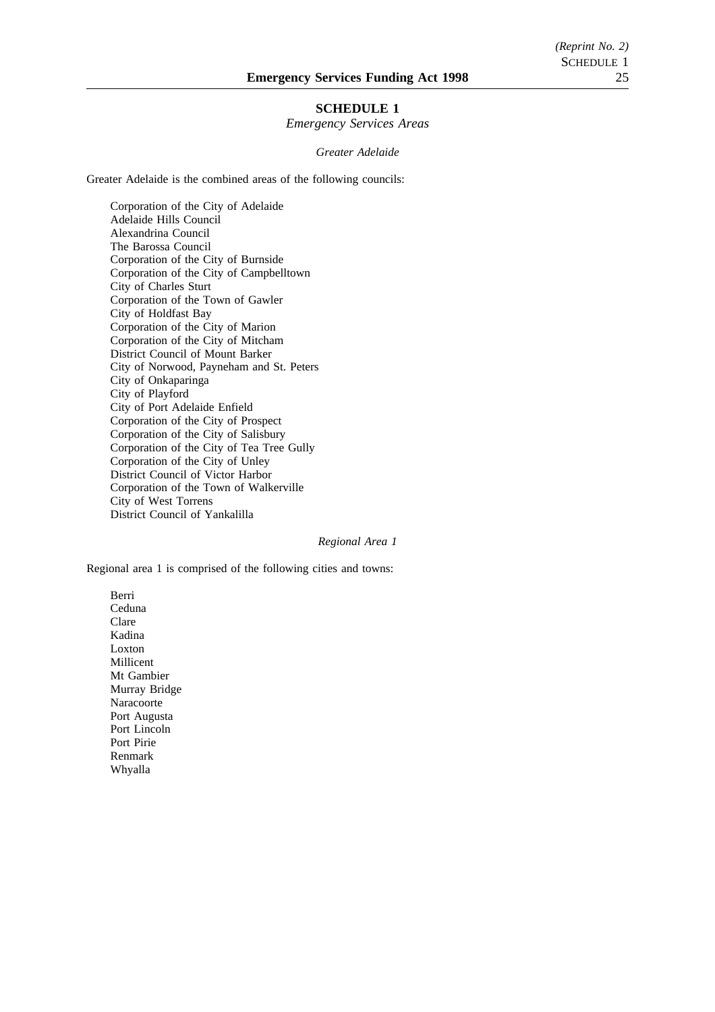## **SCHEDULE 1**

*Emergency Services Areas*

#### *Greater Adelaide*

Greater Adelaide is the combined areas of the following councils:

Corporation of the City of Adelaide Adelaide Hills Council Alexandrina Council The Barossa Council Corporation of the City of Burnside Corporation of the City of Campbelltown City of Charles Sturt Corporation of the Town of Gawler City of Holdfast Bay Corporation of the City of Marion Corporation of the City of Mitcham District Council of Mount Barker City of Norwood, Payneham and St. Peters City of Onkaparinga City of Playford City of Port Adelaide Enfield Corporation of the City of Prospect Corporation of the City of Salisbury Corporation of the City of Tea Tree Gully Corporation of the City of Unley District Council of Victor Harbor Corporation of the Town of Walkerville City of West Torrens District Council of Yankalilla

#### *Regional Area 1*

Regional area 1 is comprised of the following cities and towns:

Berri Ceduna Clare Kadina Loxton Millicent Mt Gambier Murray Bridge Naracoorte Port Augusta Port Lincoln Port Pirie Renmark Whyalla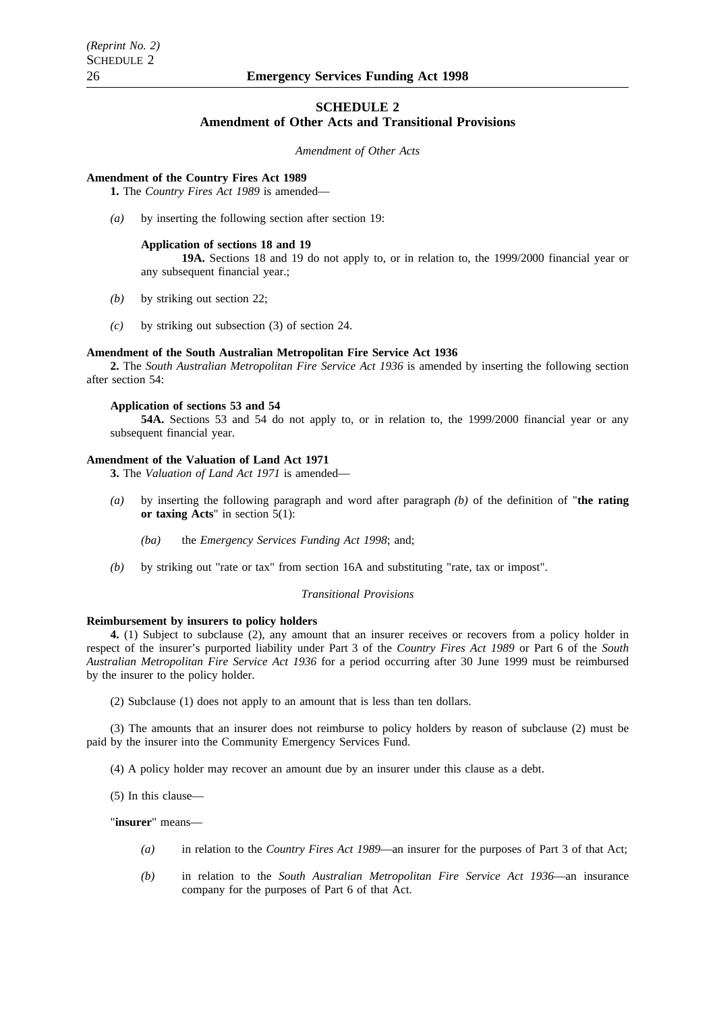### **SCHEDULE 2**

### **Amendment of Other Acts and Transitional Provisions**

*Amendment of Other Acts*

#### **Amendment of the Country Fires Act 1989**

**1.** The *Country Fires Act 1989* is amended—

*(a)* by inserting the following section after section 19:

#### **Application of sections 18 and 19**

**19A.** Sections 18 and 19 do not apply to, or in relation to, the 1999/2000 financial year or any subsequent financial year.;

- *(b)* by striking out section 22;
- *(c)* by striking out subsection (3) of section 24.

#### **Amendment of the South Australian Metropolitan Fire Service Act 1936**

**2.** The *South Australian Metropolitan Fire Service Act 1936* is amended by inserting the following section after section 54:

#### **Application of sections 53 and 54**

**54A.** Sections 53 and 54 do not apply to, or in relation to, the 1999/2000 financial year or any subsequent financial year.

## **Amendment of the Valuation of Land Act 1971**

**3.** The *Valuation of Land Act 1971* is amended—

- *(a)* by inserting the following paragraph and word after paragraph *(b)* of the definition of "**the rating or taxing Acts**" in section 5(1):
	- *(ba)* the *Emergency Services Funding Act 1998*; and;
- *(b)* by striking out "rate or tax" from section 16A and substituting "rate, tax or impost".

#### *Transitional Provisions*

#### **Reimbursement by insurers to policy holders**

**4.** (1) Subject to subclause (2), any amount that an insurer receives or recovers from a policy holder in respect of the insurer's purported liability under Part 3 of the *Country Fires Act 1989* or Part 6 of the *South Australian Metropolitan Fire Service Act 1936* for a period occurring after 30 June 1999 must be reimbursed by the insurer to the policy holder.

(2) Subclause (1) does not apply to an amount that is less than ten dollars.

(3) The amounts that an insurer does not reimburse to policy holders by reason of subclause (2) must be paid by the insurer into the Community Emergency Services Fund.

(4) A policy holder may recover an amount due by an insurer under this clause as a debt.

(5) In this clause—

"**insurer**" means—

- *(a)* in relation to the *Country Fires Act 1989*—an insurer for the purposes of Part 3 of that Act;
- *(b)* in relation to the *South Australian Metropolitan Fire Service Act 1936*—an insurance company for the purposes of Part 6 of that Act.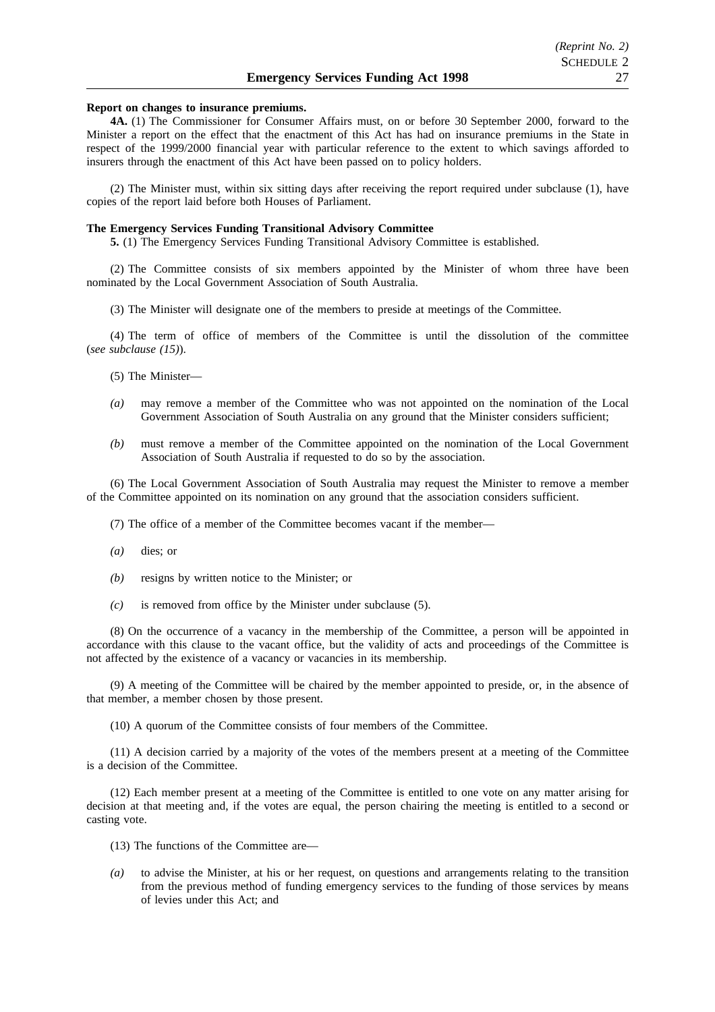#### **Report on changes to insurance premiums.**

**4A.** (1) The Commissioner for Consumer Affairs must, on or before 30 September 2000, forward to the Minister a report on the effect that the enactment of this Act has had on insurance premiums in the State in respect of the 1999/2000 financial year with particular reference to the extent to which savings afforded to insurers through the enactment of this Act have been passed on to policy holders.

(2) The Minister must, within six sitting days after receiving the report required under subclause (1), have copies of the report laid before both Houses of Parliament.

#### **The Emergency Services Funding Transitional Advisory Committee**

**5.** (1) The Emergency Services Funding Transitional Advisory Committee is established.

(2) The Committee consists of six members appointed by the Minister of whom three have been nominated by the Local Government Association of South Australia.

(3) The Minister will designate one of the members to preside at meetings of the Committee.

(4) The term of office of members of the Committee is until the dissolution of the committee (*see subclause (15)*).

(5) The Minister—

- *(a)* may remove a member of the Committee who was not appointed on the nomination of the Local Government Association of South Australia on any ground that the Minister considers sufficient;
- *(b)* must remove a member of the Committee appointed on the nomination of the Local Government Association of South Australia if requested to do so by the association.

(6) The Local Government Association of South Australia may request the Minister to remove a member of the Committee appointed on its nomination on any ground that the association considers sufficient.

(7) The office of a member of the Committee becomes vacant if the member—

- *(a)* dies; or
- *(b)* resigns by written notice to the Minister; or
- *(c)* is removed from office by the Minister under subclause (5).

(8) On the occurrence of a vacancy in the membership of the Committee, a person will be appointed in accordance with this clause to the vacant office, but the validity of acts and proceedings of the Committee is not affected by the existence of a vacancy or vacancies in its membership.

(9) A meeting of the Committee will be chaired by the member appointed to preside, or, in the absence of that member, a member chosen by those present.

(10) A quorum of the Committee consists of four members of the Committee.

(11) A decision carried by a majority of the votes of the members present at a meeting of the Committee is a decision of the Committee.

(12) Each member present at a meeting of the Committee is entitled to one vote on any matter arising for decision at that meeting and, if the votes are equal, the person chairing the meeting is entitled to a second or casting vote.

- (13) The functions of the Committee are—
- *(a)* to advise the Minister, at his or her request, on questions and arrangements relating to the transition from the previous method of funding emergency services to the funding of those services by means of levies under this Act; and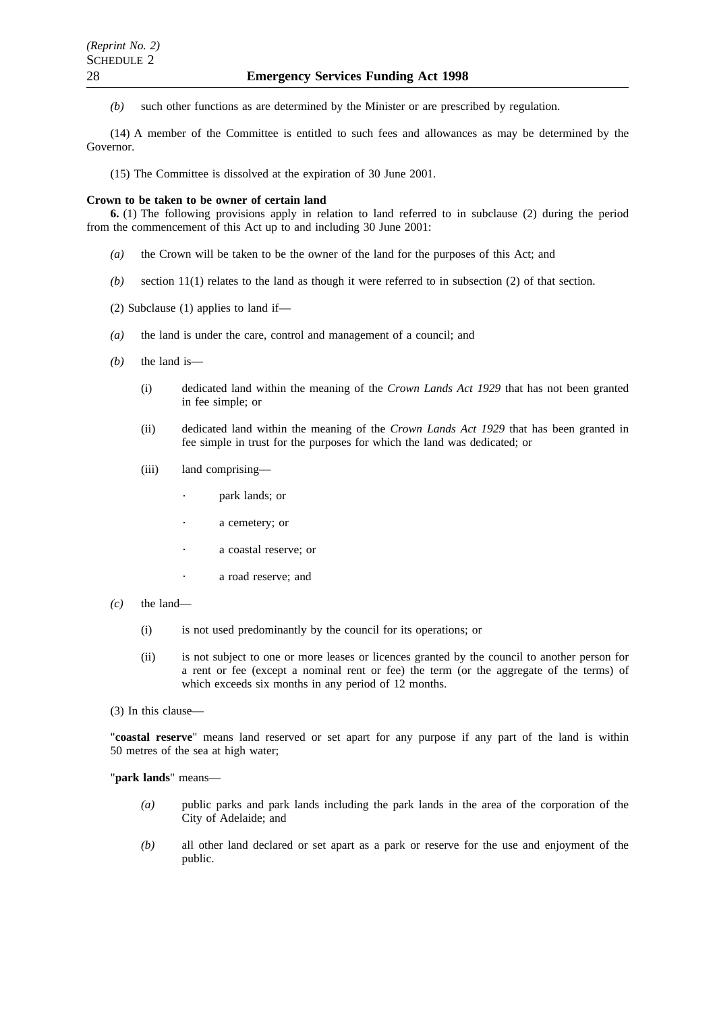*(b)* such other functions as are determined by the Minister or are prescribed by regulation.

(14) A member of the Committee is entitled to such fees and allowances as may be determined by the Governor.

(15) The Committee is dissolved at the expiration of 30 June 2001.

#### **Crown to be taken to be owner of certain land**

**6.** (1) The following provisions apply in relation to land referred to in subclause (2) during the period from the commencement of this Act up to and including 30 June 2001:

- *(a)* the Crown will be taken to be the owner of the land for the purposes of this Act; and
- *(b)* section 11(1) relates to the land as though it were referred to in subsection (2) of that section.
- (2) Subclause (1) applies to land if—
- *(a)* the land is under the care, control and management of a council; and
- *(b)* the land is—
	- (i) dedicated land within the meaning of the *Crown Lands Act 1929* that has not been granted in fee simple; or
	- (ii) dedicated land within the meaning of the *Crown Lands Act 1929* that has been granted in fee simple in trust for the purposes for which the land was dedicated; or
	- (iii) land comprising
		- park lands; or
		- a cemetery; or
		- a coastal reserve; or
		- a road reserve; and
- *(c)* the land—

 $\ddot{\phantom{a}}$ 

- (i) is not used predominantly by the council for its operations; or
- (ii) is not subject to one or more leases or licences granted by the council to another person for a rent or fee (except a nominal rent or fee) the term (or the aggregate of the terms) of which exceeds six months in any period of 12 months.
- (3) In this clause—

"**coastal reserve**" means land reserved or set apart for any purpose if any part of the land is within 50 metres of the sea at high water;

"**park lands**" means—

- *(a)* public parks and park lands including the park lands in the area of the corporation of the City of Adelaide; and
- *(b)* all other land declared or set apart as a park or reserve for the use and enjoyment of the public.